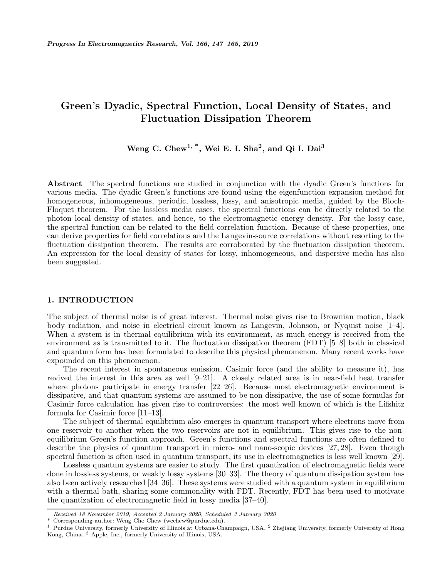# **Green's Dyadic, Spectral Function, Local Density of States, and Fluctuation Dissipation Theorem**

# **Weng C. Chew1, \*, Wei E. I. Sha2, and Qi I. Dai<sup>3</sup>**

**Abstract**—The spectral functions are studied in conjunction with the dyadic Green's functions for various media. The dyadic Green's functions are found using the eigenfunction expansion method for homogeneous, inhomogeneous, periodic, lossless, lossy, and anisotropic media, guided by the Bloch-Floquet theorem. For the lossless media cases, the spectral functions can be directly related to the photon local density of states, and hence, to the electromagnetic energy density. For the lossy case, the spectral function can be related to the field correlation function. Because of these properties, one can derive properties for field correlations and the Langevin-source correlations without resorting to the fluctuation dissipation theorem. The results are corroborated by the fluctuation dissipation theorem. An expression for the local density of states for lossy, inhomogeneous, and dispersive media has also been suggested.

# **1. INTRODUCTION**

The subject of thermal noise is of great interest. Thermal noise gives rise to Brownian motion, black body radiation, and noise in electrical circuit known as Langevin, Johnson, or Nyquist noise [1–4]. When a system is in thermal equilibrium with its environment, as much energy is received from the environment as is transmitted to it. The fluctuation dissipation theorem (FDT) [5–8] both in classical and quantum form has been formulated to describe this physical phenomenon. Many recent works have expounded on this phenomenon.

The recent interest in spontaneous emission, Casimir force (and the ability to measure it), has revived the interest in this area as well [9–21]. A closely related area is in near-field heat transfer where photons participate in energy transfer [22–26]. Because most electromagnetic environment is dissipative, and that quantum systems are assumed to be non-dissipative, the use of some formulas for Casimir force calculation has given rise to controversies: the most well known of which is the Lifshitz formula for Casimir force [11–13].

The subject of thermal equilibrium also emerges in quantum transport where electrons move from one reservoir to another when the two reservoirs are not in equilibrium. This gives rise to the nonequilibrium Green's function approach. Green's functions and spectral functions are often defined to describe the physics of quantum transport in micro- and nano-scopic devices [27, 28]. Even though spectral function is often used in quantum transport, its use in electromagnetics is less well known [29].

Lossless quantum systems are easier to study. The first quantization of electromagnetic fields were done in lossless systems, or weakly lossy systems [30–33]. The theory of quantum dissipation system has also been actively researched [34–36]. These systems were studied with a quantum system in equilibrium with a thermal bath, sharing some commonality with FDT. Recently, FDT has been used to motivate the quantization of electromagnetic field in lossy media [37–40].

*Received 18 November 2019, Accepted 2 January 2020, Scheduled 3 January 2020*

Corresponding author: Weng Cho Chew (wcchew@purdue.edu).

<sup>&</sup>lt;sup>1</sup> Purdue University, formerly University of Illinois at Urbana-Champaign, USA.  $^{2}$  Zhejiang University, formerly University of Hong Kong, China. <sup>3</sup> Apple, Inc., formerly University of Illinois, USA.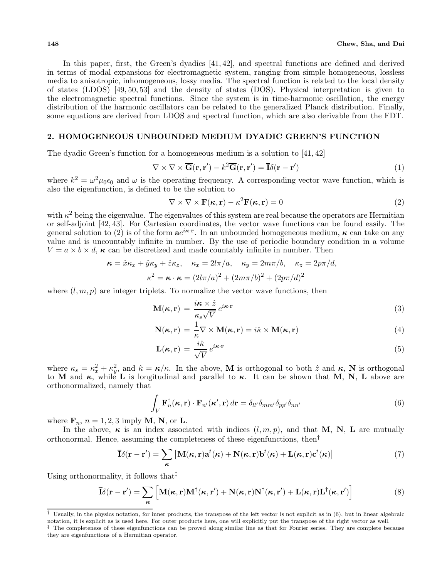In this paper, first, the Green's dyadics [41, 42], and spectral functions are defined and derived in terms of modal expansions for electromagnetic system, ranging from simple homogeneous, lossless media to anisotropic, inhomogeneous, lossy media. The spectral function is related to the local density of states (LDOS) [49, 50, 53] and the density of states (DOS). Physical interpretation is given to the electromagnetic spectral functions. Since the system is in time-harmonic oscillation, the energy distribution of the harmonic oscillators can be related to the generalized Planck distribution. Finally, some equations are derived from LDOS and spectral function, which are also derivable from the FDT.

# **2. HOMOGENEOUS UNBOUNDED MEDIUM DYADIC GREEN'S FUNCTION**

The dyadic Green's function for a homogeneous medium is a solution to [41, 42]

$$
\nabla \times \nabla \times \overline{\mathbf{G}}(\mathbf{r}, \mathbf{r}') - k^2 \overline{\mathbf{G}}(\mathbf{r}, \mathbf{r}') = \overline{\mathbf{I}} \delta(\mathbf{r} - \mathbf{r}')
$$
(1)

where  $k^2 = \omega^2 \mu_0 \epsilon_0$  and  $\omega$  is the operating frequency. A corresponding vector wave function, which is also the eigenfunction, is defined to be the solution to

$$
\nabla \times \nabla \times \mathbf{F}(\kappa, \mathbf{r}) - \kappa^2 \mathbf{F}(\kappa, \mathbf{r}) = 0
$$
\n(2)

with  $\kappa^2$  being the eigenvalue. The eigenvalues of this system are real because the operators are Hermitian or self-adjoint [42, 43]. For Cartesian coordinates, the vector wave functions can be found easily. The general solution to (2) is of the form  $ae^{i\kappa \cdot r}$ . In an unbounded homogeneous medium,  $\kappa$  can take on any value and is uncountably infinite in number. By the use of periodic boundary condition in a volume  $V = a \times b \times d$ ,  $\kappa$  can be discretized and made countably infinite in number. Then

$$
\kappa = \hat{x}\kappa_x + \hat{y}\kappa_y + \hat{z}\kappa_z, \quad \kappa_x = 2l\pi/a, \quad \kappa_y = 2m\pi/b, \quad \kappa_z = 2p\pi/d,
$$
  

$$
\kappa^2 = \kappa \cdot \kappa = (2l\pi/a)^2 + (2m\pi/b)^2 + (2p\pi/d)^2
$$

where  $(l, m, p)$  are integer triplets. To normalize the vector wave functions, then

$$
\mathbf{M}(\kappa, \mathbf{r}) = \frac{i\kappa \times \hat{z}}{\kappa_s \sqrt{V}} e^{i\kappa \cdot \mathbf{r}}
$$
(3)

$$
\mathbf{N}(\kappa, \mathbf{r}) = \frac{1}{\kappa} \nabla \times \mathbf{M}(\kappa, \mathbf{r}) = i\hat{\kappa} \times \mathbf{M}(\kappa, \mathbf{r})
$$
(4)

$$
\mathbf{L}(\kappa, \mathbf{r}) = \frac{i\hat{\kappa}}{\sqrt{V}} e^{i\kappa \cdot \mathbf{r}}
$$
 (5)

where  $\kappa_s = \kappa_x^2 + \kappa_y^2$ , and  $\hat{\kappa} = \kappa/\kappa$ . In the above, **M** is orthogonal to both  $\hat{z}$  and  $\kappa$ , **N** is orthogonal to **M** and *κ*, while **L** is longitudinal and parallel to *κ*. It can be shown that **M**, **N**, **L** above are orthonormalized, namely that

$$
\int_{V} \mathbf{F}_{n}^{\dagger}(\boldsymbol{\kappa}, \mathbf{r}) \cdot \mathbf{F}_{n'}(\boldsymbol{\kappa}', \mathbf{r}) d\mathbf{r} = \delta_{ll'} \delta_{mm'} \delta_{pp'} \delta_{nn'} \tag{6}
$$

where  $\mathbf{F}_n$ ,  $n = 1, 2, 3$  imply **M**, **N**, or **L**.

In the above,  $\kappa$  is an index associated with indices  $(l, m, p)$ , and that **M**, **N**, **L** are mutually orthonormal. Hence, assuming the completeness of these eigenfunctions, then<sup>†</sup>

$$
\overline{\mathbf{I}}\delta(\mathbf{r}-\mathbf{r}') = \sum_{\kappa} \left[ \mathbf{M}(\kappa, \mathbf{r}) \mathbf{a}^t(\kappa) + \mathbf{N}(\kappa, \mathbf{r}) \mathbf{b}^t(\kappa) + \mathbf{L}(\kappa, \mathbf{r}) \mathbf{c}^t(\kappa) \right]
$$
(7)

Using orthonormality, it follows that‡

$$
\overline{\mathbf{I}}\delta(\mathbf{r}-\mathbf{r}') = \sum_{\kappa} \left[ \mathbf{M}(\kappa, \mathbf{r}) \mathbf{M}^{\dagger}(\kappa, \mathbf{r}') + \mathbf{N}(\kappa, \mathbf{r}) \mathbf{N}^{\dagger}(\kappa, \mathbf{r}') + \mathbf{L}(\kappa, \mathbf{r}) \mathbf{L}^{\dagger}(\kappa, \mathbf{r}') \right]
$$
(8)

 $\dagger$  Usually, in the physics notation, for inner products, the transpose of the left vector is not explicit as in  $(6)$ , but in linear algebraic notation, it is explicit as is used here. For outer products here, one will explicitly put the transpose of the right vector as well.

 $\ddot{\tau}$ . The completeness of these eigenfunctions can be proved along similar line as that for Fourier series. They are complete because they are eigenfunctions of a Hermitian operator.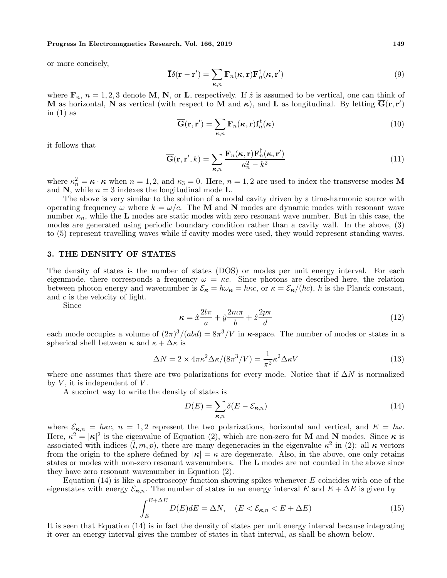or more concisely,

$$
\overline{\mathbf{I}}\delta(\mathbf{r} - \mathbf{r}') = \sum_{\kappa,n} \mathbf{F}_n(\kappa, \mathbf{r}) \mathbf{F}_n^{\dagger}(\kappa, \mathbf{r}')
$$
\n(9)

where  $\mathbf{F}_n$ ,  $n = 1, 2, 3$  denote **M**, **N**, or **L**, respectively. If  $\hat{z}$  is assumed to be vertical, one can think of **M** as horizontal, **N** as vertical (with respect to **M** and  $\kappa$ ), and **L** as longitudinal. By letting  $\mathbf{G}(\mathbf{r}, \mathbf{r}')$ in (1) as

$$
\overline{\mathbf{G}}(\mathbf{r}, \mathbf{r}') = \sum_{\boldsymbol{\kappa}, n} \mathbf{F}_n(\boldsymbol{\kappa}, \mathbf{r}) \mathbf{f}_n^t(\boldsymbol{\kappa})
$$
(10)

it follows that

$$
\overline{\mathbf{G}}(\mathbf{r}, \mathbf{r}', k) = \sum_{\kappa, n} \frac{\mathbf{F}_n(\kappa, \mathbf{r}) \mathbf{F}_n^{\dagger}(\kappa, \mathbf{r}')}{\kappa_n^2 - k^2}
$$
(11)

where  $\kappa_n^2 = \kappa \cdot \kappa$  when  $n = 1, 2$ , and  $\kappa_3 = 0$ . Here,  $n = 1, 2$  are used to index the transverse modes **M** and **N**, while  $n = 3$  indexes the longitudinal mode **L**.

The above is very similar to the solution of a modal cavity driven by a time-harmonic source with operating frequency  $\omega$  where  $k = \omega/c$ . The **M** and **N** modes are dynamic modes with resonant wave number  $\kappa_n$ , while the **L** modes are static modes with zero resonant wave number. But in this case, the modes are generated using periodic boundary condition rather than a cavity wall. In the above, (3) to (5) represent travelling waves while if cavity modes were used, they would represent standing waves.

## **3. THE DENSITY OF STATES**

The density of states is the number of states (DOS) or modes per unit energy interval. For each eigenmode, there corresponds a frequency  $\omega = \kappa c$ . Since photons are described here, the relation between photon energy and wavenumber is  $\mathcal{E}_{\kappa} = \hbar \omega_{\kappa} = \hbar \kappa c$ , or  $\kappa = \mathcal{E}_{\kappa}/(\hbar c)$ ,  $\hbar$  is the Planck constant, and c is the velocity of light.

Since

$$
\kappa = \hat{x}\frac{2l\pi}{a} + \hat{y}\frac{2m\pi}{b} + \hat{z}\frac{2p\pi}{d}
$$
\n(12)

each mode occupies a volume of  $(2\pi)^3/(abd) = 8\pi^3/V$  in *κ*-space. The number of modes or states in a spherical shell between  $\kappa$  and  $\kappa + \Delta \kappa$  is

$$
\Delta N = 2 \times 4\pi \kappa^2 \Delta \kappa / (8\pi^3 / V) = \frac{1}{\pi^2} \kappa^2 \Delta \kappa V \tag{13}
$$

where one assumes that there are two polarizations for every mode. Notice that if  $\Delta N$  is normalized by  $V$ , it is independent of  $V$ .

A succinct way to write the density of states is

$$
D(E) = \sum_{\kappa,n} \delta(E - \mathcal{E}_{\kappa,n})
$$
\n(14)

where  $\mathcal{E}_{\kappa,n} = \hbar \kappa c$ ,  $n = 1,2$  represent the two polarizations, horizontal and vertical, and  $E = \hbar \omega$ . Here,  $\kappa^2 = |\kappa|^2$  is the eigenvalue of Equation (2), which are non-zero for **M** and **N** modes. Since  $\kappa$  is associated with indices  $(l, m, p)$ , there are many degeneracies in the eigenvalue  $\kappa^2$  in (2): all  $\kappa$  vectors from the origin to the sphere defined by  $|\kappa| = \kappa$  are degenerate. Also, in the above, one only retains states or modes with non-zero resonant wavenumbers. The **L** modes are not counted in the above since they have zero resonant wavenumber in Equation (2).

Equation  $(14)$  is like a spectroscopy function showing spikes whenever E coincides with one of the eigenstates with energy  $\mathcal{E}_{\kappa,n}$ . The number of states in an energy interval E and  $E + \Delta E$  is given by

$$
\int_{E}^{E+\Delta E} D(E)dE = \Delta N, \quad (E < \mathcal{E}_{\kappa,n} < E + \Delta E) \tag{15}
$$

It is seen that Equation (14) is in fact the density of states per unit energy interval because integrating it over an energy interval gives the number of states in that interval, as shall be shown below.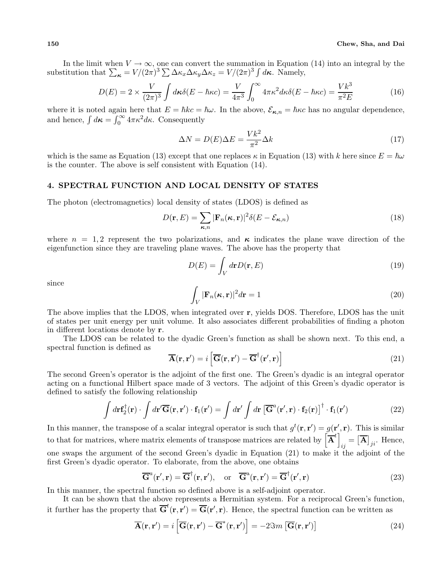In the limit when  $V \to \infty$ , one can convert the summation in Equation (14) into an integral by the substitution that  $\sum_{\kappa} = V/(2\pi)^3 \sum \Delta \kappa_x \Delta \kappa_y \Delta \kappa_z = V/(2\pi)^3 \int d\kappa$ . Namely,

$$
D(E) = 2 \times \frac{V}{(2\pi)^3} \int d\kappa \delta(E - \hbar \kappa c) = \frac{V}{4\pi^3} \int_0^\infty 4\pi \kappa^2 d\kappa \delta(E - \hbar \kappa c) = \frac{Vk^3}{\pi^2 E}
$$
(16)

where it is noted again here that  $E = \hbar k c = \hbar \omega$ . In the above,  $\mathcal{E}_{\kappa,n} = \hbar \kappa c$  has no angular dependence, and hence,  $\int d\kappa = \int_0^\infty 4\pi \kappa^2 d\kappa$ . Consequently

$$
\Delta N = D(E)\Delta E = \frac{Vk^2}{\pi^2}\Delta k\tag{17}
$$

which is the same as Equation (13) except that one replaces  $\kappa$  in Equation (13) with k here since  $E = \hbar \omega$ is the counter. The above is self consistent with Equation (14).

# **4. SPECTRAL FUNCTION AND LOCAL DENSITY OF STATES**

The photon (electromagnetics) local density of states (LDOS) is defined as

$$
D(\mathbf{r}, E) = \sum_{\kappa, n} |\mathbf{F}_n(\kappa, \mathbf{r})|^2 \delta(E - \mathcal{E}_{\kappa, n})
$$
\n(18)

where  $n = 1, 2$  represent the two polarizations, and  $\kappa$  indicates the plane wave direction of the eigenfunction since they are traveling plane waves. The above has the property that

$$
D(E) = \int_{V} d\mathbf{r} D(\mathbf{r}, E)
$$
\n(19)

since

$$
\int_{V} |\mathbf{F}_n(\boldsymbol{\kappa}, \mathbf{r})|^2 d\mathbf{r} = 1
$$
\n(20)

The above implies that the LDOS, when integrated over **r**, yields DOS. Therefore, LDOS has the unit of states per unit energy per unit volume. It also associates different probabilities of finding a photon in different locations denote by **r**.

The LDOS can be related to the dyadic Green's function as shall be shown next. To this end, a spectral function is defined as

$$
\overline{\mathbf{A}}(\mathbf{r}, \mathbf{r}') = i \left[ \overline{\mathbf{G}}(\mathbf{r}, \mathbf{r}') - \overline{\mathbf{G}}^{\dagger}(\mathbf{r}', \mathbf{r}) \right]
$$
(21)

The second Green's operator is the adjoint of the first one. The Green's dyadic is an integral operator acting on a functional Hilbert space made of 3 vectors. The adjoint of this Green's dyadic operator is defined to satisfy the following relationship

$$
\int d\mathbf{r} \mathbf{f}_2^{\dagger}(\mathbf{r}) \cdot \int d\mathbf{r}' \overline{\mathbf{G}}(\mathbf{r}, \mathbf{r}') \cdot \mathbf{f}_1(\mathbf{r}') = \int d\mathbf{r}' \int d\mathbf{r} \left[ \overline{\mathbf{G}}^a(\mathbf{r}', \mathbf{r}) \cdot \mathbf{f}_2(\mathbf{r}) \right]^{\dagger} \cdot \mathbf{f}_1(\mathbf{r}')
$$
\n(22)

In this manner, the transpose of a scalar integral operator is such that  $g^t(\mathbf{r}, \mathbf{r}') = g(\mathbf{r}', \mathbf{r})$ . This is similar to that for matrices, where matrix elements of transpose matrices are related by  $\left[\overline{\mathbf{A}}^t\right]_{ij} = \left[\overline{\mathbf{A}}\right]_{ji}$ . Hence,

one swaps the argument of the second Green's dyadic in Equation (21) to make it the adjoint of the first Green's dyadic operator. To elaborate, from the above, one obtains

$$
\overline{\mathbf{G}}^{a}(\mathbf{r}',\mathbf{r}) = \overline{\mathbf{G}}^{\dagger}(\mathbf{r},\mathbf{r}'), \text{ or } \overline{\mathbf{G}}^{a}(\mathbf{r},\mathbf{r}') = \overline{\mathbf{G}}^{\dagger}(\mathbf{r}',\mathbf{r})
$$
\n(23)

In this manner, the spectral function so defined above is a self-adjoint operator.

It can be shown that the above represents a Hermitian system. For a reciprocal Green's function, it further has the property that  $\overline{G}^t(r,r') = \overline{G}(r',r)$ . Hence, the spectral function can be written as

$$
\overline{\mathbf{A}}(\mathbf{r}, \mathbf{r}') = i \left[ \overline{\mathbf{G}}(\mathbf{r}, \mathbf{r}') - \overline{\mathbf{G}}^*(\mathbf{r}, \mathbf{r}') \right] = -2\Im m \left[ \overline{\mathbf{G}}(\mathbf{r}, \mathbf{r}') \right]
$$
(24)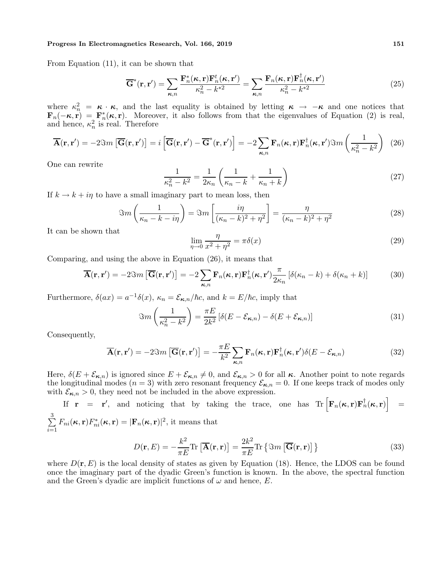From Equation (11), it can be shown that

$$
\overline{\mathbf{G}}^{*}(\mathbf{r}, \mathbf{r}') = \sum_{\boldsymbol{\kappa}, n} \frac{\mathbf{F}_{n}^{*}(\boldsymbol{\kappa}, \mathbf{r}) \mathbf{F}_{n}^{t}(\boldsymbol{\kappa}, \mathbf{r}')}{\kappa_{n}^{2} - k^{*2}} = \sum_{\boldsymbol{\kappa}, n} \frac{\mathbf{F}_{n}(\boldsymbol{\kappa}, \mathbf{r}) \mathbf{F}_{n}^{\dagger}(\boldsymbol{\kappa}, \mathbf{r}')}{\kappa_{n}^{2} - k^{*2}} \tag{25}
$$

where  $\kappa_n^2 = \kappa \cdot \kappa$ , and the last equality is obtained by letting  $\kappa \to -\kappa$  and one notices that  $\mathbf{F}_n(-\kappa, \mathbf{r}) = \mathbf{F}_n^*(\kappa, \mathbf{r})$ . Moreover, it also follows from that the eigenvalues of Equation (2) is real, and hence,  $\kappa_n^2$  is real. Therefore

$$
\overline{\mathbf{A}}(\mathbf{r}, \mathbf{r}') = -2\Im m \left[ \overline{\mathbf{G}}(\mathbf{r}, \mathbf{r}') \right] = i \left[ \overline{\mathbf{G}}(\mathbf{r}, \mathbf{r}') - \overline{\mathbf{G}}^*(\mathbf{r}, \mathbf{r}') \right] = -2 \sum_{\kappa, n} \mathbf{F}_n(\kappa, \mathbf{r}) \mathbf{F}_n^{\dagger}(\kappa, \mathbf{r}') \Im m \left( \frac{1}{\kappa_n^2 - k^2} \right) \tag{26}
$$

One can rewrite

$$
\frac{1}{\kappa_n^2 - k^2} = \frac{1}{2\kappa_n} \left( \frac{1}{\kappa_n - k} + \frac{1}{\kappa_n + k} \right) \tag{27}
$$

If  $k \to k + i\eta$  to have a small imaginary part to mean loss, then

$$
\Im m\left(\frac{1}{\kappa_n - k - i\eta}\right) = \Im m\left[\frac{i\eta}{(\kappa_n - k)^2 + \eta^2}\right] = \frac{\eta}{(\kappa_n - k)^2 + \eta^2}
$$
(28)

It can be shown that

$$
\lim_{\eta \to 0} \frac{\eta}{x^2 + \eta^2} = \pi \delta(x) \tag{29}
$$

Comparing, and using the above in Equation (26), it means that

$$
\overline{\mathbf{A}}(\mathbf{r}, \mathbf{r}') = -2\Im m \left[ \overline{\mathbf{G}}(\mathbf{r}, \mathbf{r}') \right] = -2 \sum_{\kappa, n} \mathbf{F}_n(\kappa, \mathbf{r}) \mathbf{F}_n^{\dagger}(\kappa, \mathbf{r}') \frac{\pi}{2\kappa_n} \left[ \delta(\kappa_n - k) + \delta(\kappa_n + k) \right]
$$
(30)

Furthermore,  $\delta(ax) = a^{-1}\delta(x)$ ,  $\kappa_n = \mathcal{E}_{\kappa,n}/\hbar c$ , and  $k = E/\hbar c$ , imply that

$$
\Im m\left(\frac{1}{\kappa_n^2 - k^2}\right) = \frac{\pi E}{2k^2} \left[\delta(E - \mathcal{E}_{\kappa,n}) - \delta(E + \mathcal{E}_{\kappa,n})\right]
$$
(31)

Consequently,

$$
\overline{\mathbf{A}}(\mathbf{r}, \mathbf{r}') = -2\Im m \left[ \overline{\mathbf{G}}(\mathbf{r}, \mathbf{r}') \right] = -\frac{\pi E}{k^2} \sum_{\kappa, n} \mathbf{F}_n(\kappa, \mathbf{r}) \mathbf{F}_n^{\dagger}(\kappa, \mathbf{r}') \delta(E - \mathcal{E}_{\kappa, n}) \tag{32}
$$

Here,  $\delta(E + \mathcal{E}_{\kappa,n})$  is ignored since  $E + \mathcal{E}_{\kappa,n} \neq 0$ , and  $\mathcal{E}_{\kappa,n} > 0$  for all  $\kappa$ . Another point to note regards the longitudinal modes  $(n = 3)$  with zero resonant frequency  $\mathcal{E}_{\kappa,n} = 0$ . If one keeps track of modes only with  $\mathcal{E}_{\kappa,n} > 0$ , they need not be included in the above expression.

If **r** = **r**', and noticing that by taking the trace, one has  $\text{Tr}\left[\mathbf{F}_n(\kappa,\mathbf{r})\mathbf{F}_n^{\dagger}(\kappa,\mathbf{r})\right]$ =  $\sum$ 3  $i=1$  $F_{ni}(\kappa, \mathbf{r}) F_{ni}^*(\kappa, \mathbf{r}) = |\mathbf{F}_n(\kappa, \mathbf{r})|^2$ , it means that

$$
D(\mathbf{r}, E) = -\frac{k^2}{\pi E} \text{Tr} \left[ \overline{\mathbf{A}}(\mathbf{r}, \mathbf{r}) \right] = \frac{2k^2}{\pi E} \text{Tr} \left\{ \mathfrak{S}m \left[ \overline{\mathbf{G}}(\mathbf{r}, \mathbf{r}) \right] \right\}
$$
(33)

where  $D(\mathbf{r}, E)$  is the local density of states as given by Equation (18). Hence, the LDOS can be found once the imaginary part of the dyadic Green's function is known. In the above, the spectral function and the Green's dyadic are implicit functions of  $\omega$  and hence, E.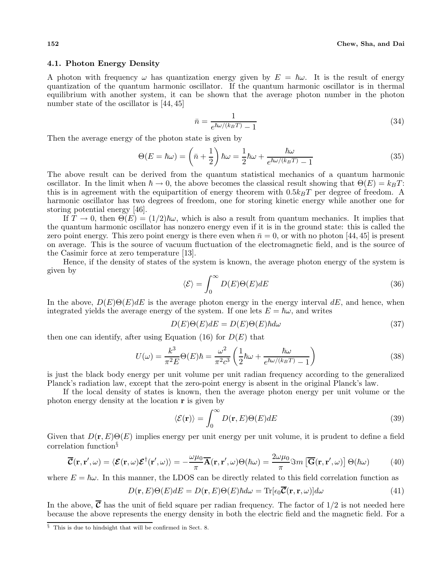## **4.1. Photon Energy Density**

A photon with frequency  $\omega$  has quantization energy given by  $E = \hbar \omega$ . It is the result of energy quantization of the quantum harmonic oscillator. If the quantum harmonic oscillator is in thermal equilibrium with another system, it can be shown that the average photon number in the photon number state of the oscillator is [44, 45]

$$
\bar{n} = \frac{1}{e^{\hbar\omega/(k_B T)} - 1} \tag{34}
$$

Then the average energy of the photon state is given by

$$
\Theta(E = \hbar\omega) = \left(\bar{n} + \frac{1}{2}\right)\hbar\omega = \frac{1}{2}\hbar\omega + \frac{\hbar\omega}{e^{\hbar\omega/(k_BT)} - 1}
$$
\n(35)

The above result can be derived from the quantum statistical mechanics of a quantum harmonic oscillator. In the limit when  $\hbar \to 0$ , the above becomes the classical result showing that  $\Theta(E) = k_B T$ : this is in agreement with the equipartition of energy theorem with  $0.5k_BT$  per degree of freedom. A harmonic oscillator has two degrees of freedom, one for storing kinetic energy while another one for storing potential energy [46].

If  $T \to 0$ , then  $\Theta(E) = (1/2)\hbar\omega$ , which is also a result from quantum mechanics. It implies that the quantum harmonic oscillator has nonzero energy even if it is in the ground state: this is called the zero point energy. This zero point energy is there even when  $\bar{n} = 0$ , or with no photon [44, 45] is present on average. This is the source of vacuum fluctuation of the electromagnetic field, and is the source of the Casimir force at zero temperature [13].

Hence, if the density of states of the system is known, the average photon energy of the system is given by

$$
\langle \mathcal{E} \rangle = \int_0^\infty D(E) \Theta(E) dE \tag{36}
$$

In the above,  $D(E)\Theta(E)dE$  is the average photon energy in the energy interval dE, and hence, when integrated yields the average energy of the system. If one lets  $E = \hbar \omega$ , and writes

$$
D(E)\Theta(E)dE = D(E)\Theta(E)\hbar d\omega
$$
\n(37)

then one can identify, after using Equation (16) for  $D(E)$  that

$$
U(\omega) = \frac{k^3}{\pi^2 E} \Theta(E) \hbar = \frac{\omega^2}{\pi^2 c^3} \left( \frac{1}{2} \hbar \omega + \frac{\hbar \omega}{e^{\hbar \omega/(k_B T)} - 1} \right)
$$
(38)

is just the black body energy per unit volume per unit radian frequency according to the generalized Planck's radiation law, except that the zero-point energy is absent in the original Planck's law.

If the local density of states is known, then the average photon energy per unit volume or the photon energy density at the location **r** is given by

$$
\langle \mathcal{E}(\mathbf{r}) \rangle = \int_0^\infty D(\mathbf{r}, E) \Theta(E) dE \tag{39}
$$

Given that  $D(\mathbf{r}, E)\Theta(E)$  implies energy per unit energy per unit volume, it is prudent to define a field correlation function§

$$
\overline{\mathcal{C}}(\mathbf{r}, \mathbf{r}', \omega) = \langle \mathcal{E}(\mathbf{r}, \omega) \mathcal{E}^{\dagger}(\mathbf{r}', \omega) \rangle = -\frac{\omega \mu_0}{\pi} \overline{\mathbf{A}}(\mathbf{r}, \mathbf{r}', \omega) \Theta(\hbar \omega) = \frac{2\omega \mu_0}{\pi} \Im m \left[ \overline{\mathbf{G}}(\mathbf{r}, \mathbf{r}', \omega) \right] \Theta(\hbar \omega)
$$
(40)

where  $E = \hbar \omega$ . In this manner, the LDOS can be directly related to this field correlation function as

$$
D(\mathbf{r}, E)\Theta(E)dE = D(\mathbf{r}, E)\Theta(E)\hbar d\omega = \text{Tr}[\epsilon_0 \overline{\mathcal{C}}(\mathbf{r}, \mathbf{r}, \omega)]d\omega \tag{41}
$$

In the above,  $\overline{C}$  has the unit of field square per radian frequency. The factor of  $1/2$  is not needed here because the above represents the energy density in both the electric field and the magnetic field. For a

 $§$  This is due to hindsight that will be confirmed in Sect. 8.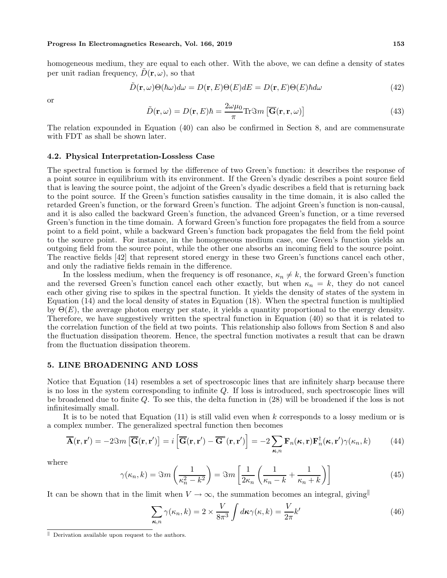homogeneous medium, they are equal to each other. With the above, we can define a density of states per unit radian frequency,  $D(\mathbf{r}, \omega)$ , so that

$$
\tilde{D}(\mathbf{r},\omega)\Theta(\hbar\omega)d\omega = D(\mathbf{r},E)\Theta(E)dE = D(\mathbf{r},E)\Theta(E)\hbar d\omega
$$
\n(42)

or

$$
\tilde{D}(\mathbf{r},\omega) = D(\mathbf{r},E)\hbar = \frac{2\omega\mu_0}{\pi}\text{Tr}\mathfrak{S}m\left[\overline{\mathbf{G}}(\mathbf{r},\mathbf{r},\omega)\right]
$$
(43)

The relation expounded in Equation (40) can also be confirmed in Section 8, and are commensurate with FDT as shall be shown later.

## **4.2. Physical Interpretation-Lossless Case**

The spectral function is formed by the difference of two Green's function: it describes the response of a point source in equilibrium with its environment. If the Green's dyadic describes a point source field that is leaving the source point, the adjoint of the Green's dyadic describes a field that is returning back to the point source. If the Green's function satisfies causality in the time domain, it is also called the retarded Green's function, or the forward Green's function. The adjoint Green's function is non-causal, and it is also called the backward Green's function, the advanced Green's function, or a time reversed Green's function in the time domain. A forward Green's function fore propagates the field from a source point to a field point, while a backward Green's function back propagates the field from the field point to the source point. For instance, in the homogeneous medium case, one Green's function yields an outgoing field from the source point, while the other one absorbs an incoming field to the source point. The reactive fields [42] that represent stored energy in these two Green's functions cancel each other, and only the radiative fields remain in the difference.

In the lossless medium, when the frequency is off resonance,  $\kappa_n \neq k$ , the forward Green's function and the reversed Green's function cancel each other exactly, but when  $\kappa_n = k$ , they do not cancel each other giving rise to spikes in the spectral function. It yields the density of states of the system in Equation (14) and the local density of states in Equation (18). When the spectral function is multiplied by  $\Theta(E)$ , the average photon energy per state, it yields a quantity proportional to the energy density. Therefore, we have suggestively written the spectral function in Equation (40) so that it is related to the correlation function of the field at two points. This relationship also follows from Section 8 and also the fluctuation dissipation theorem. Hence, the spectral function motivates a result that can be drawn from the fluctuation dissipation theorem.

# **5. LINE BROADENING AND LOSS**

Notice that Equation (14) resembles a set of spectroscopic lines that are infinitely sharp because there is no loss in the system corresponding to infinite Q. If loss is introduced, such spectroscopic lines will be broadened due to finite Q. To see this, the delta function in (28) will be broadened if the loss is not infinitesimally small.

It is to be noted that Equation (11) is still valid even when k corresponds to a lossy medium or is a complex number. The generalized spectral function then becomes

$$
\overline{\mathbf{A}}(\mathbf{r}, \mathbf{r}') = -2\Im m \left[ \overline{\mathbf{G}}(\mathbf{r}, \mathbf{r}') \right] = i \left[ \overline{\mathbf{G}}(\mathbf{r}, \mathbf{r}') - \overline{\mathbf{G}}^*(\mathbf{r}, \mathbf{r}') \right] = -2 \sum_{\kappa, n} \mathbf{F}_n(\kappa, \mathbf{r}) \mathbf{F}_n^\dagger(\kappa, \mathbf{r}') \gamma(\kappa_n, k) \tag{44}
$$

where

$$
\gamma(\kappa_n, k) = \Im m\left(\frac{1}{\kappa_n^2 - k^2}\right) = \Im m\left[\frac{1}{2\kappa_n}\left(\frac{1}{\kappa_n - k} + \frac{1}{\kappa_n + k}\right)\right]
$$
(45)

It can be shown that in the limit when  $V \to \infty$ , the summation becomes an integral, giving

$$
\sum_{\kappa,n} \gamma(\kappa_n, k) = 2 \times \frac{V}{8\pi^3} \int d\kappa \gamma(\kappa, k) = \frac{V}{2\pi} k'
$$
\n(46)

 $\parallel$  Derivation available upon request to the authors.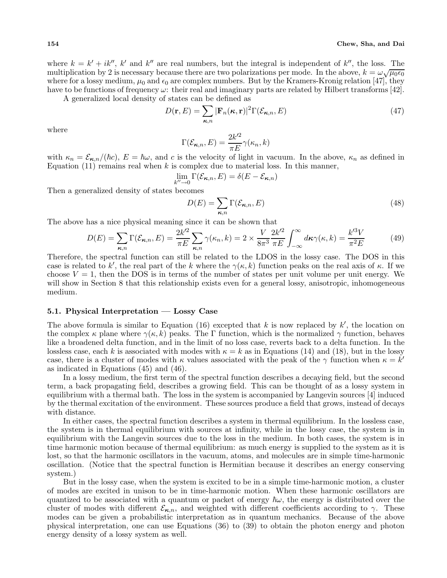where  $k = k' + ik'', k'$  and  $k''$  are real numbers, but the integral is independent of  $k''$ , the loss. The multiplication by 2 is necessary because there are two polarizations per mode. In the above,  $k = \omega \sqrt{\mu_0 \epsilon_0}$ where for a lossy medium,  $\mu_0$  and  $\epsilon_0$  are complex numbers. But by the Kramers-Kronig relation [47], they have to be functions of frequency  $\omega$ : their real and imaginary parts are related by Hilbert transforms [42].

A generalized local density of states can be defined as

$$
D(\mathbf{r}, E) = \sum_{\kappa, n} |\mathbf{F}_n(\kappa, \mathbf{r})|^2 \Gamma(\mathcal{E}_{\kappa, n}, E)
$$
\n(47)

where

$$
\Gamma(\mathcal{E}_{\kappa,n},E) = \frac{2k'^2}{\pi E} \gamma(\kappa_n,k)
$$

with  $\kappa_n = \mathcal{E}_{\kappa,n}/(\hbar c)$ ,  $E = \hbar \omega$ , and c is the velocity of light in vacuum. In the above,  $\kappa_n$  as defined in Equation  $(11)$  remains real when k is complex due to material loss. In this manner,

$$
\lim_{k'' \to 0} \Gamma(\mathcal{E}_{\boldsymbol{\kappa},n}, E) = \delta(E - \mathcal{E}_{\boldsymbol{\kappa},n})
$$

Then a generalized density of states becomes

$$
D(E) = \sum_{\kappa,n} \Gamma(\mathcal{E}_{\kappa,n}, E)
$$
\n(48)

The above has a nice physical meaning since it can be shown that

$$
D(E) = \sum_{\kappa,n} \Gamma(\mathcal{E}_{\kappa,n}, E) = \frac{2k'^2}{\pi E} \sum_{\kappa,n} \gamma(\kappa_n, k) = 2 \times \frac{V}{8\pi^3} \frac{2k'^2}{\pi E} \int_{-\infty}^{\infty} d\kappa \gamma(\kappa, k) = \frac{k'^3 V}{\pi^2 E}
$$
(49)

Therefore, the spectral function can still be related to the LDOS in the lossy case. The DOS in this case is related to k', the real part of the k where the  $\gamma(\kappa, k)$  function peaks on the real axis of  $\kappa$ . If we choose  $V = 1$ , then the DOS is in terms of the number of states per unit volume per unit energy. We will show in Section 8 that this relationship exists even for a general lossy, anisotropic, inhomogeneous medium.

## **5.1. Physical Interpretation — Lossy Case**

The above formula is similar to Equation (16) excepted that k is now replaced by  $k'$ , the location on the complex  $\kappa$  plane where  $\gamma(\kappa, k)$  peaks. The Γ function, which is the normalized  $\gamma$  function, behaves like a broadened delta function, and in the limit of no loss case, reverts back to a delta function. In the lossless case, each k is associated with modes with  $\kappa = k$  as in Equations (14) and (18), but in the lossy case, there is a cluster of modes with  $\kappa$  values associated with the peak of the  $\gamma$  function when  $\kappa = k'$ as indicated in Equations (45) and (46).

In a lossy medium, the first term of the spectral function describes a decaying field, but the second term, a back propagating field, describes a growing field. This can be thought of as a lossy system in equilibrium with a thermal bath. The loss in the system is accompanied by Langevin sources [4] induced by the thermal excitation of the environment. These sources produce a field that grows, instead of decays with distance.

In either cases, the spectral function describes a system in thermal equilibrium. In the lossless case, the system is in thermal equilibrium with sources at infinity, while in the lossy case, the system is in equilibrium with the Langevin sources due to the loss in the medium. In both cases, the system is in time harmonic motion because of thermal equilibrium: as much energy is supplied to the system as it is lost, so that the harmonic oscillators in the vacuum, atoms, and molecules are in simple time-harmonic oscillation. (Notice that the spectral function is Hermitian because it describes an energy conserving system.)

But in the lossy case, when the system is excited to be in a simple time-harmonic motion, a cluster of modes are excited in unison to be in time-harmonic motion. When these harmonic oscillators are quantized to be associated with a quantum or packet of energy  $\hbar\omega$ , the energy is distributed over the cluster of modes with different  $\mathcal{E}_{\kappa,n}$ , and weighted with different coefficients according to  $\gamma$ . These modes can be given a probabilistic interpretation as in quantum mechanics. Because of the above physical interpretation, one can use Equations (36) to (39) to obtain the photon energy and photon energy density of a lossy system as well.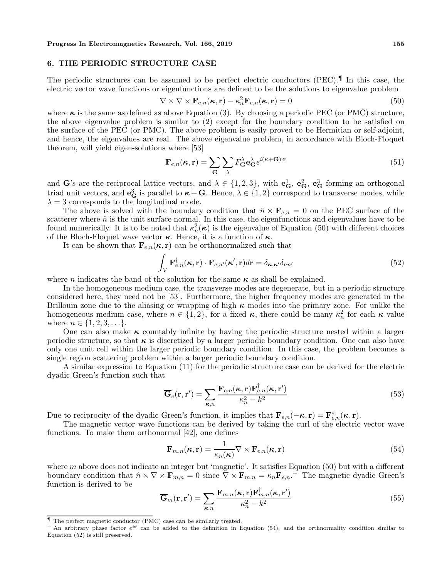#### **6. THE PERIODIC STRUCTURE CASE**

The periodic structures can be assumed to be perfect electric conductors (PEC).¶ In this case, the electric vector wave functions or eigenfunctions are defined to be the solutions to eigenvalue problem

$$
\nabla \times \nabla \times \mathbf{F}_{e,n}(\kappa, \mathbf{r}) - \kappa_n^2 \mathbf{F}_{e,n}(\kappa, \mathbf{r}) = 0
$$
\n(50)

where  $\kappa$  is the same as defined as above Equation (3). By choosing a periodic PEC (or PMC) structure, the above eigenvalue problem is similar to (2) except for the boundary condition to be satisfied on the surface of the PEC (or PMC). The above problem is easily proved to be Hermitian or self-adjoint, and hence, the eigenvalues are real. The above eigenvalue problem, in accordance with Bloch-Floquet theorem, will yield eigen-solutions where [53]

$$
\mathbf{F}_{e,n}(\kappa,\mathbf{r}) = \sum_{\mathbf{G}} \sum_{\lambda} F_{\mathbf{G}}^{\lambda} \mathbf{e}_{\mathbf{G}}^{\lambda} e^{i(\kappa + \mathbf{G}) \cdot \mathbf{r}}
$$
(51)

and **G**'s are the reciprocal lattice vectors, and  $\lambda \in \{1, 2, 3\}$ , with  $\mathbf{e}_{\mathbf{G}}^1$ ,  $\mathbf{e}_{\mathbf{G}}^2$ ,  $\mathbf{e}_{\mathbf{G}}^3$  forming an orthogonal triad unit vectors, and  $\mathbf{e}_{\mathbf{G}}^3$  is parallel to  $\kappa + \mathbf{G}$ . Hence,  $\lambda \in \{1, 2\}$  correspond to transverse modes, while  $\lambda = 3$  corresponds to the longitudinal mode.

The above is solved with the boundary condition that  $\hat{n} \times \mathbf{F}_{e,n} = 0$  on the PEC surface of the scatterer where  $\hat{n}$  is the unit surface normal. In this case, the eigenfunctions and eigenvalues have to be found numerically. It is to be noted that  $\kappa_n^2(\kappa)$  is the eigenvalue of Equation (50) with different choices of the Bloch-Floquet wave vector *κ*. Hence, it is a function of *κ*.

It can be shown that  $\mathbf{F}_{e,n}(\kappa,\mathbf{r})$  can be orthonormalized such that

$$
\int_{V} \mathbf{F}_{e,n}^{\dagger}(\boldsymbol{\kappa}, \mathbf{r}) \cdot \mathbf{F}_{e,n'}(\boldsymbol{\kappa}', \mathbf{r}) d\mathbf{r} = \delta_{\boldsymbol{\kappa}, \boldsymbol{\kappa}'} \delta_{nn'} \tag{52}
$$

where *n* indicates the band of the solution for the same  $\kappa$  as shall be explained.

In the homogeneous medium case, the transverse modes are degenerate, but in a periodic structure considered here, they need not be [53]. Furthermore, the higher frequency modes are generated in the Brillouin zone due to the aliasing or wrapping of high *κ* modes into the primary zone. For unlike the homogeneous medium case, where  $n \in \{1,2\}$ , for a fixed  $\kappa$ , there could be many  $\kappa_n^2$  for each  $\kappa$  value where  $n \in \{1, 2, 3, ...\}$ .

One can also make  $\kappa$  countably infinite by having the periodic structure nested within a larger periodic structure, so that  $\kappa$  is discretized by a larger periodic boundary condition. One can also have only one unit cell within the larger periodic boundary condition. In this case, the problem becomes a single region scattering problem within a larger periodic boundary condition.

A similar expression to Equation (11) for the periodic structure case can be derived for the electric dyadic Green's function such that

$$
\overline{\mathbf{G}}_e(\mathbf{r}, \mathbf{r}') = \sum_{\boldsymbol{\kappa}, n} \frac{\mathbf{F}_{e,n}(\boldsymbol{\kappa}, \mathbf{r}) \mathbf{F}_{e,n}^{\dagger}(\boldsymbol{\kappa}, \mathbf{r}')}{\kappa_n^2 - k^2}
$$
(53)

Due to reciprocity of the dyadic Green's function, it implies that  $\mathbf{F}_{e,n}(-\kappa,\mathbf{r}) = \mathbf{F}_{e,n}^*(\kappa,\mathbf{r})$ .

The magnetic vector wave functions can be derived by taking the curl of the electric vector wave functions. To make them orthonormal [42], one defines

$$
\mathbf{F}_{m,n}(\kappa, \mathbf{r}) = \frac{1}{\kappa_n(\kappa)} \nabla \times \mathbf{F}_{e,n}(\kappa, \mathbf{r})
$$
\n(54)

where  $m$  above does not indicate an integer but 'magnetic'. It satisfies Equation (50) but with a different boundary condition that  $\hat{n} \times \nabla \times \mathbf{F}_{m,n} = 0$  since  $\overline{\nabla} \times \mathbf{F}_{m,n} = \kappa_n \mathbf{F}_{e,n}$ .<sup> $\dagger$ </sup> The magnetic dyadic Green's function is derived to be

$$
\overline{\mathbf{G}}_{m}(\mathbf{r}, \mathbf{r}') = \sum_{\boldsymbol{\kappa}, n} \frac{\mathbf{F}_{m,n}(\boldsymbol{\kappa}, \mathbf{r}) \mathbf{F}_{m,n}^{\mathsf{T}}(\boldsymbol{\kappa}, \mathbf{r}')}{\kappa_n^2 - k^2}
$$
(55)

<sup>¶</sup> The perfect magnetic conductor (PMC) case can be similarly treated.

<sup>&</sup>lt;sup>+</sup> An arbitrary phase factor  $e^{i\theta}$  can be added to the definition in Equation (54), and the orthnormality condition similar to Equation (52) is still preserved.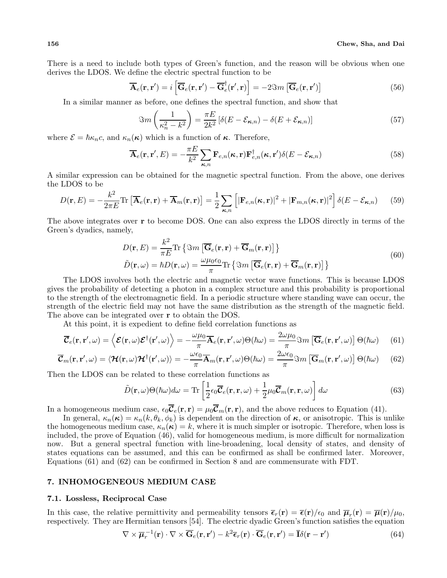There is a need to include both types of Green's function, and the reason will be obvious when one derives the LDOS. We define the electric spectral function to be

$$
\overline{\mathbf{A}}_e(\mathbf{r}, \mathbf{r}') = i \left[ \overline{\mathbf{G}}_e(\mathbf{r}, \mathbf{r}') - \overline{\mathbf{G}}_e^{\dagger}(\mathbf{r}', \mathbf{r}) \right] = -2\Im m \left[ \overline{\mathbf{G}}_e(\mathbf{r}, \mathbf{r}') \right]
$$
(56)

In a similar manner as before, one defines the spectral function, and show that

$$
\Im m\left(\frac{1}{\kappa_n^2 - k^2}\right) = \frac{\pi E}{2k^2} \left[\delta(E - \mathcal{E}_{\kappa,n}) - \delta(E + \mathcal{E}_{\kappa,n})\right]
$$
(57)

where  $\mathcal{E} = \hbar \kappa_n c$ , and  $\kappa_n(\kappa)$  which is a function of  $\kappa$ . Therefore,

$$
\overline{\mathbf{A}}_e(\mathbf{r}, \mathbf{r}', E) = -\frac{\pi E}{k^2} \sum_{\kappa, n} \mathbf{F}_{e,n}(\kappa, \mathbf{r}) \mathbf{F}_{e,n}^{\dagger}(\kappa, \mathbf{r}') \delta(E - \mathcal{E}_{\kappa, n})
$$
(58)

A similar expression can be obtained for the magnetic spectral function. From the above, one derives the LDOS to be

$$
D(\mathbf{r},E) = -\frac{k^2}{2\pi E} \text{Tr} \left[ \overline{\mathbf{A}}_e(\mathbf{r},\mathbf{r}) + \overline{\mathbf{A}}_m(\mathbf{r},\mathbf{r}) \right] = \frac{1}{2} \sum_{\kappa,n} \left[ \left| \mathbf{F}_{e,n}(\kappa,\mathbf{r}) \right|^2 + \left| \mathbf{F}_{m,n}(\kappa,\mathbf{r}) \right|^2 \right] \delta(E - \mathcal{E}_{\kappa,n}) \tag{59}
$$

The above integrates over **r** to become DOS. One can also express the LDOS directly in terms of the Green's dyadics, namely,

$$
D(\mathbf{r}, E) = \frac{k^2}{\pi E} \text{Tr} \left\{ \Im m \left[ \overline{\mathbf{G}}_e(\mathbf{r}, \mathbf{r}) + \overline{\mathbf{G}}_m(\mathbf{r}, \mathbf{r}) \right] \right\}
$$
  

$$
\tilde{D}(\mathbf{r}, \omega) = \hbar D(\mathbf{r}, \omega) = \frac{\omega \mu_0 \epsilon_0}{\pi} \text{Tr} \left\{ \Im m \left[ \overline{\mathbf{G}}_e(\mathbf{r}, \mathbf{r}) + \overline{\mathbf{G}}_m(\mathbf{r}, \mathbf{r}) \right] \right\}
$$
(60)

The LDOS involves both the electric and magnetic vector wave functions. This is because LDOS gives the probability of detecting a photon in a complex structure and this probability is proportional to the strength of the electromagnetic field. In a periodic structure where standing wave can occur, the strength of the electric field may not have the same distribution as the strength of the magnetic field. The above can be integrated over **r** to obtain the DOS.

At this point, it is expedient to define field correlation functions as

$$
\overline{\mathcal{C}}_e(\mathbf{r}, \mathbf{r}', \omega) = \left\langle \mathcal{E}(\mathbf{r}, \omega) \mathcal{E}^\dagger(\mathbf{r}', \omega) \right\rangle = -\frac{\omega\mu_0}{\pi} \overline{\mathbf{A}}_e(\mathbf{r}, \mathbf{r}', \omega) \Theta(\hbar\omega) = \frac{2\omega\mu_0}{\pi} \Im m \left[ \overline{\mathbf{G}}_e(\mathbf{r}, \mathbf{r}', \omega) \right] \Theta(\hbar\omega) \tag{61}
$$

$$
\overline{\mathcal{C}}_m(\mathbf{r}, \mathbf{r}', \omega) = \langle \mathcal{H}(\mathbf{r}, \omega) \mathcal{H}^\dagger(\mathbf{r}', \omega) \rangle = -\frac{\omega \epsilon_0}{\pi} \overline{\mathbf{A}}_m(\mathbf{r}, \mathbf{r}', \omega) \Theta(\hbar \omega) = \frac{2\omega \epsilon_0}{\pi} \Im m \left[ \overline{\mathbf{G}}_m(\mathbf{r}, \mathbf{r}', \omega) \right] \Theta(\hbar \omega) \tag{62}
$$

Then the LDOS can be related to these correlation functions as

$$
\tilde{D}(\mathbf{r},\omega)\Theta(\hbar\omega)d\omega = \text{Tr}\left[\frac{1}{2}\epsilon_0\overline{\mathcal{C}}_e(\mathbf{r},\mathbf{r},\omega) + \frac{1}{2}\mu_0\overline{\mathcal{C}}_m(\mathbf{r},\mathbf{r},\omega)\right]d\omega\tag{63}
$$

In a homogeneous medium case,  $\epsilon_0 \overline{\mathcal{C}}_e(\mathbf{r}, \mathbf{r}) = \mu_0 \overline{\mathcal{C}}_m(\mathbf{r}, \mathbf{r})$ , and the above reduces to Equation (41).

In general,  $\kappa_n(\kappa) = \kappa_n(k, \theta_k, \phi_k)$  is dependent on the direction of  $\kappa$ , or anisotropic. This is unlike the homogeneous medium case,  $\kappa_n(\kappa) = k$ , where it is much simpler or isotropic. Therefore, when loss is included, the prove of Equation (46), valid for homogeneous medium, is more difficult for normalization now. But a general spectral function with line-broadening, local density of states, and density of states equations can be assumed, and this can be confirmed as shall be confirmed later. Moreover, Equations (61) and (62) can be confirmed in Section 8 and are commensurate with FDT.

# **7. INHOMOGENEOUS MEDIUM CASE**

#### **7.1. Lossless, Reciprocal Case**

In this case, the relative permittivity and permeability tensors  $\bar{\epsilon}_r(\mathbf{r}) = \bar{\epsilon}(\mathbf{r})/\epsilon_0$  and  $\bar{\mu}_r(\mathbf{r}) = \bar{\mu}(\mathbf{r})/\mu_0$ , respectively. They are Hermitian tensors [54]. The electric dyadic Green's function satisfies the equation

$$
\nabla \times \overline{\boldsymbol{\mu}}_r^{-1}(\mathbf{r}) \cdot \nabla \times \overline{\mathbf{G}}_e(\mathbf{r}, \mathbf{r}') - k^2 \overline{\boldsymbol{\epsilon}}_r(\mathbf{r}) \cdot \overline{\mathbf{G}}_e(\mathbf{r}, \mathbf{r}') = \overline{\mathbf{I}} \delta(\mathbf{r} - \mathbf{r}')
$$
(64)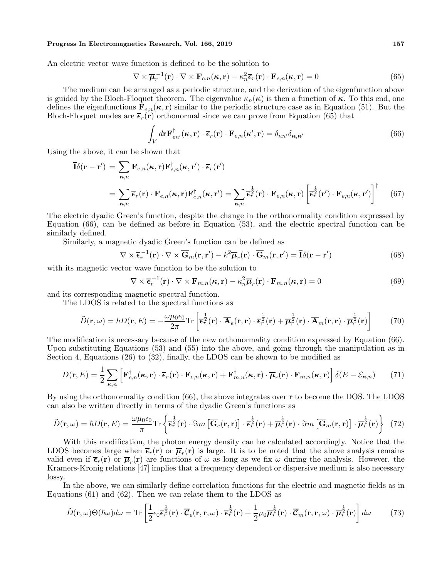An electric vector wave function is defined to be the solution to

$$
\nabla \times \overline{\boldsymbol{\mu}}_r^{-1}(\mathbf{r}) \cdot \nabla \times \mathbf{F}_{e,n}(\boldsymbol{\kappa}, \mathbf{r}) - \kappa_n^2 \overline{\boldsymbol{\epsilon}}_r(\mathbf{r}) \cdot \mathbf{F}_{e,n}(\boldsymbol{\kappa}, \mathbf{r}) = 0 \tag{65}
$$

The medium can be arranged as a periodic structure, and the derivation of the eigenfunction above is guided by the Bloch-Floquet theorem. The eigenvalue  $\kappa_n(\kappa)$  is then a function of  $\kappa$ . To this end, one defines the eigenfunctions  $\mathbf{F}_{e,n}(\kappa,\mathbf{r})$  similar to the periodic structure case as in Equation (51). But the Bloch-Floquet modes are  $\bar{\epsilon}_r(\mathbf{r})$  orthonormal since we can prove from Equation (65) that

$$
\int_{V} d\mathbf{r} \mathbf{F}_{en'}^{\dagger}(\boldsymbol{\kappa}, \mathbf{r}) \cdot \overline{\boldsymbol{\epsilon}}_{r}(\mathbf{r}) \cdot \mathbf{F}_{e,n}(\boldsymbol{\kappa}', \mathbf{r}) = \delta_{nn'} \delta_{\boldsymbol{\kappa}, \boldsymbol{\kappa}'} \tag{66}
$$

Using the above, it can be shown that

$$
\overline{\mathbf{I}}\delta(\mathbf{r}-\mathbf{r}') = \sum_{\boldsymbol{\kappa},n} \mathbf{F}_{e,n}(\boldsymbol{\kappa},\mathbf{r}) \mathbf{F}_{e,n}^{\dagger}(\boldsymbol{\kappa},\mathbf{r}') \cdot \overline{\epsilon}_r(\mathbf{r}')
$$
\n
$$
= \sum_{\boldsymbol{\kappa},n} \overline{\epsilon}_r(\mathbf{r}) \cdot \mathbf{F}_{e,n}(\boldsymbol{\kappa},\mathbf{r}) \mathbf{F}_{e,n}^{\dagger}(\boldsymbol{\kappa},\mathbf{r}') = \sum_{\boldsymbol{\kappa},n} \overline{\epsilon}_r^{\frac{1}{2}}(\mathbf{r}) \cdot \mathbf{F}_{e,n}(\boldsymbol{\kappa},\mathbf{r}) \left[ \overline{\epsilon}_r^{\frac{1}{2}}(\mathbf{r}') \cdot \mathbf{F}_{e,n}(\boldsymbol{\kappa},\mathbf{r}') \right]^{\dagger} \tag{67}
$$

The electric dyadic Green's function, despite the change in the orthonormality condition expressed by Equation (66), can be defined as before in Equation (53), and the electric spectral function can be similarly defined.

Similarly, a magnetic dyadic Green's function can be defined as

$$
\nabla \times \overline{\boldsymbol{\epsilon}}_r^{-1}(\mathbf{r}) \cdot \nabla \times \overline{\mathbf{G}}_m(\mathbf{r}, \mathbf{r}') - k^2 \overline{\boldsymbol{\mu}}_r(\mathbf{r}) \cdot \overline{\mathbf{G}}_m(\mathbf{r}, \mathbf{r}') = \overline{\mathbf{I}} \delta(\mathbf{r} - \mathbf{r}')
$$
(68)

with its magnetic vector wave function to be the solution to

$$
\nabla \times \overline{\boldsymbol{\epsilon}}_r^{-1}(\mathbf{r}) \cdot \nabla \times \mathbf{F}_{m,n}(\boldsymbol{\kappa}, \mathbf{r}) - \kappa_n^2 \overline{\boldsymbol{\mu}}_r(\mathbf{r}) \cdot \mathbf{F}_{m,n}(\boldsymbol{\kappa}, \mathbf{r}) = 0
$$
(69)

and its corresponding magnetic spectral function.

The LDOS is related to the spectral functions as

$$
\tilde{D}(\mathbf{r},\omega) = \hbar D(\mathbf{r},E) = -\frac{\omega\mu_0\epsilon_0}{2\pi} \text{Tr}\left[\overline{\epsilon}_r^{\frac{1}{2}}(\mathbf{r}) \cdot \overline{\mathbf{A}}_e(\mathbf{r},\mathbf{r}) \cdot \overline{\epsilon}_r^{\frac{1}{2}}(\mathbf{r}) + \overline{\mu}_r^{\frac{1}{2}}(\mathbf{r}) \cdot \overline{\mathbf{A}}_m(\mathbf{r},\mathbf{r}) \cdot \overline{\mu}_r^{\frac{1}{2}}(\mathbf{r})\right]
$$
(70)

The modification is necessary because of the new orthonormality condition expressed by Equation (66). Upon substituting Equations (53) and (55) into the above, and going through the manipulation as in Section 4, Equations (26) to (32), finally, the LDOS can be shown to be modified as

$$
D(\mathbf{r}, E) = \frac{1}{2} \sum_{\kappa, n} \left[ \mathbf{F}_{e,n}^{\dagger}(\kappa, \mathbf{r}) \cdot \overline{\epsilon}_r(\mathbf{r}) \cdot \mathbf{F}_{e,n}(\kappa, \mathbf{r}) + \mathbf{F}_{m,n}^{\dagger}(\kappa, \mathbf{r}) \cdot \overline{\mu}_r(\mathbf{r}) \cdot \mathbf{F}_{m,n}(\kappa, \mathbf{r}) \right] \delta(E - \mathcal{E}_{\kappa, n}) \tag{71}
$$

By using the orthonormality condition (66), the above integrates over **r** to become the DOS. The LDOS can also be written directly in terms of the dyadic Green's functions as

$$
\tilde{D}(\mathbf{r},\omega) = \hbar D(\mathbf{r},E) = \frac{\omega\mu_0\epsilon_0}{\pi} \text{Tr} \left\{ \overline{\epsilon}_r^{\frac{1}{2}}(\mathbf{r}) \cdot \Im m \left[ \overline{\mathbf{G}}_e(\mathbf{r},\mathbf{r}) \right] \cdot \overline{\epsilon}_r^{\frac{1}{2}}(\mathbf{r}) + \overline{\mu}_r^{\frac{1}{2}}(\mathbf{r}) \cdot \Im m \left[ \overline{\mathbf{G}}_m(\mathbf{r},\mathbf{r}) \right] \cdot \overline{\mu}_r^{\frac{1}{2}}(\mathbf{r}) \right\} \tag{72}
$$

With this modification, the photon energy density can be calculated accordingly. Notice that the LDOS becomes large when  $\bar{\epsilon}_r(\mathbf{r})$  or  $\bar{\mu}_r(\mathbf{r})$  is large. It is to be noted that the above analysis remains valid even if  $\bar{\epsilon}_r(\mathbf{r})$  or  $\bar{\mu}_r(\mathbf{r})$  are functions of  $\omega$  as long as we fix  $\omega$  during the analysis. However, the Kramers-Kronig relations [47] implies that a frequency dependent or dispersive medium is also necessary lossy.

In the above, we can similarly define correlation functions for the electric and magnetic fields as in Equations (61) and (62). Then we can relate them to the LDOS as

$$
\tilde{D}(\mathbf{r},\omega)\Theta(\hbar\omega)d\omega = \text{Tr}\left[\frac{1}{2}\epsilon_0\overline{\epsilon}_r^{\frac{1}{2}}(\mathbf{r})\cdot\overline{\mathcal{C}}_e(\mathbf{r},\mathbf{r},\omega)\cdot\overline{\epsilon}_r^{\frac{1}{2}}(\mathbf{r}) + \frac{1}{2}\mu_0\overline{\mu}_r^{\frac{1}{2}}(\mathbf{r})\cdot\overline{\mathcal{C}}_m(\mathbf{r},\mathbf{r},\omega)\cdot\overline{\mu}_r^{\frac{1}{2}}(\mathbf{r})\right]d\omega\tag{73}
$$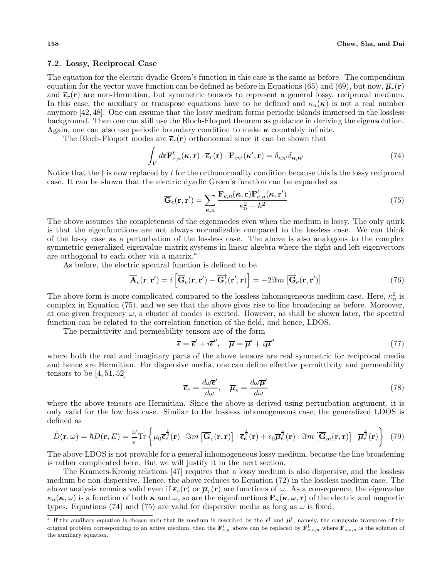### **7.2. Lossy, Reciprocal Case**

The equation for the electric dyadic Green's function in this case is the same as before. The compendium equation for the vector wave function can be defined as before in Equations (65) and (69), but now,  $\overline{\mu}_r(\mathbf{r})$ and  $\bar{\epsilon}_r(\mathbf{r})$  are non-Hermitian, but symmetric tensors to represent a general lossy, reciprocal medium. In this case, the auxiliary or transpose equations have to be defined and  $\kappa_n(\kappa)$  is not a real number anymore [42, 48]. One can assume that the lossy medium forms periodic islands immersed in the lossless background. Then one can still use the Bloch-Floquet theorem as guidance in deriving the eigensolution. Again, one can also use periodic boundary condition to make *κ* countably infinite.

The Bloch-Floquet modes are  $\bar{\epsilon}_r(\mathbf{r})$  orthonormal since it can be shown that

$$
\int_{V} d\mathbf{r} \mathbf{F}_{e,n}^{t}(\boldsymbol{\kappa}, \mathbf{r}) \cdot \overline{\boldsymbol{\epsilon}}_{r}(\mathbf{r}) \cdot \mathbf{F}_{en'}(\boldsymbol{\kappa}', \mathbf{r}) = \delta_{nn'} \delta_{\boldsymbol{\kappa}, \boldsymbol{\kappa}'} \tag{74}
$$

Notice that the  $\dagger$  is now replaced by t for the orthonormality condition because this is the lossy reciprocal case. It can be shown that the electric dyadic Green's function can be expanded as

$$
\overline{\mathbf{G}}_e(\mathbf{r}, \mathbf{r}') = \sum_{\kappa, n} \frac{\mathbf{F}_{e,n}(\kappa, \mathbf{r}) \mathbf{F}_{e,n}^t(\kappa, \mathbf{r}')}{\kappa_n^2 - k^2}
$$
(75)

The above assumes the completeness of the eigenmodes even when the medium is lossy. The only quirk is that the eigenfunctions are not always normalizable compared to the lossless case. We can think of the lossy case as a perturbation of the lossless case. The above is also analogous to the complex symmetric generalized eigenvalue matrix systems in linear algebra where the right and left eigenvectors are orthogonal to each other via a matrix.∗

As before, the electric spectral function is defined to be

$$
\overline{\mathbf{A}}_e(\mathbf{r}, \mathbf{r}') = i \left[ \overline{\mathbf{G}}_e(\mathbf{r}, \mathbf{r}') - \overline{\mathbf{G}}_e^{\dagger}(\mathbf{r}', \mathbf{r}) \right] = -2\Im m \left[ \overline{\mathbf{G}}_e(\mathbf{r}, \mathbf{r}') \right]
$$
(76)

The above form is more complicated compared to the lossless inhomogeneous medium case. Here,  $\kappa_n^2$  is complex in Equation (75), and we see that the above gives rise to line broadening as before. Moreover, at one given frequency  $\omega$ , a cluster of modes is excited. However, as shall be shown later, the spectral function can be related to the correlation function of the field, and hence, LDOS.

The permittivity and permeability tensors are of the form

$$
\overline{\epsilon} = \overline{\epsilon}' + i\overline{\epsilon}'', \quad \overline{\mu} = \overline{\mu}' + i\overline{\mu}''
$$
\n(77)

where both the real and imaginary parts of the above tensors are real symmetric for reciprocal media and hence are Hermitian. For dispersive media, one can define effective permittivity and permeability tensors to be  $[4, 51, 52]$ 

$$
\overline{\epsilon}_e = \frac{d\omega \overline{\epsilon}'}{d\omega}, \quad \overline{\mu}_e = \frac{d\omega \overline{\mu}'}{d\omega} \tag{78}
$$

where the above tensors are Hermitian. Since the above is derived using perturbation argument, it is only valid for the low loss case. Similar to the lossless inhomogeneous case, the generalized LDOS is defined as

$$
\tilde{D}(\mathbf{r},\omega) = \hbar D(\mathbf{r},E) = \frac{\omega}{\pi} \text{Tr} \left\{ \mu_0 \overline{\epsilon}_e^{\frac{1}{2}}(\mathbf{r}) \cdot \Im m \left[ \overline{\mathbf{G}}_e(\mathbf{r},\mathbf{r}) \right] \cdot \overline{\epsilon}_e^{\frac{1}{2}}(\mathbf{r}) + \epsilon_0 \overline{\mu}_e^{\frac{1}{2}}(\mathbf{r}) \cdot \Im m \left[ \overline{\mathbf{G}}_m(\mathbf{r},\mathbf{r}) \right] \cdot \overline{\mu}_e^{\frac{1}{2}}(\mathbf{r}) \right\} \tag{79}
$$

The above LDOS is not provable for a general inhomogeneous lossy medium, because the line broadening is rather complicated here. But we will justify it in the next section.

The Kramers-Kronig relations [47] requires that a lossy medium is also dispersive, and the lossless medium be non-dispersive. Hence, the above reduces to Equation (72) in the lossless medium case. The above analysis remains valid even if  $\bar{\epsilon}_r(\mathbf{r})$  or  $\bar{\mu}_r(\mathbf{r})$  are functions of  $\omega$ . As a consequence, the eigenvalue  $\kappa_n(\kappa, \omega)$  is a function of both  $\kappa$  and  $\omega$ , so are the eigenfunctions  $\mathbf{F}_n(\kappa, \omega, \mathbf{r})$  of the electric and magnetic types. Equations (74) and (75) are valid for dispersive media as long as  $\omega$  is fixed.

<sup>&</sup>lt;sup>\*</sup> If the auxiliary equation is chosen such that its medium is described by the  $\bar{\epsilon}^{\dagger}$  and  $\bar{\mu}^{\dagger}$ , namely, the conjugate transpose of the original problem corresponding to an active medium, then the  $\mathbf{F}_{e,n}^t$  above can be replaced by  $\mathbf{F}_{a,e,n}^{\dagger}$  where  $\mathbf{F}_{a,e,n}$  is the solution of the auxiliary equation.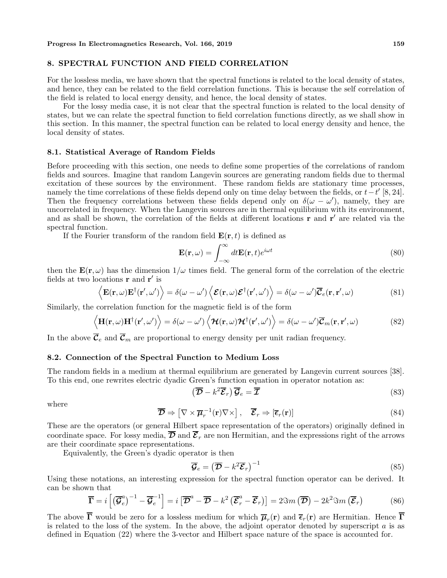## **8. SPECTRAL FUNCTION AND FIELD CORRELATION**

For the lossless media, we have shown that the spectral functions is related to the local density of states, and hence, they can be related to the field correlation functions. This is because the self correlation of the field is related to local energy density, and hence, the local density of states.

For the lossy media case, it is not clear that the spectral function is related to the local density of states, but we can relate the spectral function to field correlation functions directly, as we shall show in this section. In this manner, the spectral function can be related to local energy density and hence, the local density of states.

## **8.1. Statistical Average of Random Fields**

Before proceeding with this section, one needs to define some properties of the correlations of random fields and sources. Imagine that random Langevin sources are generating random fields due to thermal excitation of these sources by the environment. These random fields are stationary time processes, namely the time correlations of these fields depend only on time delay between the fields, or  $t-t'$  [8, 24]. Then the frequency correlations between these fields depend only on  $\delta(\omega - \omega')$ , namely, they are uncorrelated in frequency. When the Langevin sources are in thermal equilibrium with its environment, and as shall be shown, the correlation of the fields at different locations **r** and **r**<sup> $\prime$ </sup> are related via the spectral function.

If the Fourier transform of the random field  $\mathbf{E}(\mathbf{r},t)$  is defined as

$$
\mathbf{E}(\mathbf{r},\omega) = \int_{-\infty}^{\infty} dt \mathbf{E}(\mathbf{r},t)e^{i\omega t}
$$
 (80)

then the  $\mathbf{E}(\mathbf{r},\omega)$  has the dimension  $1/\omega$  times field. The general form of the correlation of the electric fields at two locations **r** and **r**<sup> $\prime$ </sup> is

$$
\langle \mathbf{E}(\mathbf{r},\omega)\mathbf{E}^{\dagger}(\mathbf{r}',\omega')\rangle = \delta(\omega-\omega')\langle \mathcal{E}(\mathbf{r},\omega)\mathcal{E}^{\dagger}(\mathbf{r}',\omega')\rangle = \delta(\omega-\omega')\overline{\mathcal{C}}_e(\mathbf{r},\mathbf{r}',\omega)
$$
(81)

Similarly, the correlation function for the magnetic field is of the form

$$
\langle \mathbf{H}(\mathbf{r},\omega)\mathbf{H}^{\dagger}(\mathbf{r}',\omega')\rangle = \delta(\omega - \omega')\langle \mathcal{H}(\mathbf{r},\omega)\mathcal{H}^{\dagger}(\mathbf{r}',\omega')\rangle = \delta(\omega - \omega')\overline{\mathcal{C}}_{m}(\mathbf{r},\mathbf{r}',\omega)
$$
(82)

In the above  $\overline{\mathcal{C}}_e$  and  $\overline{\mathcal{C}}_m$  are proportional to energy density per unit radian frequency.

### **8.2. Connection of the Spectral Function to Medium Loss**

The random fields in a medium at thermal equilibrium are generated by Langevin current sources [38]. To this end, one rewrites electric dyadic Green's function equation in operator notation as:

$$
\left(\overline{\mathcal{D}} - k^2 \overline{\mathcal{E}}_r\right) \overline{\mathcal{G}}_e = \overline{\mathcal{I}} \tag{83}
$$

where

$$
\overline{\mathcal{D}} \Rightarrow \left[ \nabla \times \overline{\boldsymbol{\mu}}_r^{-1}(\mathbf{r}) \nabla \times \right], \quad \overline{\mathcal{E}}_r \Rightarrow \left[ \overline{\epsilon}_r(\mathbf{r}) \right]
$$
(84)

These are the operators (or general Hilbert space representation of the operators) originally defined in coordinate space. For lossy media,  $\overline{\mathcal{D}}$  and  $\overline{\mathcal{E}}_r$  are non Hermitian, and the expressions right of the arrows are their coordinate space representations.

Equivalently, the Green's dyadic operator is then

$$
\overline{\mathcal{G}}_e = \left(\overline{\mathcal{D}} - k^2 \overline{\mathcal{E}}_r\right)^{-1} \tag{85}
$$

Using these notations, an interesting expression for the spectral function operator can be derived. It can be shown that

$$
\overline{\Gamma} = i \left[ \left( \overline{\mathcal{G}}_e^a \right)^{-1} - \overline{\mathcal{G}}_e^{-1} \right] = i \left[ \overline{\mathcal{D}}^a - \overline{\mathcal{D}} - k^2 \left( \overline{\mathcal{E}}_r^a - \overline{\mathcal{E}}_r \right) \right] = 2 \Im m \left( \overline{\mathcal{D}} \right) - 2k^2 \Im m \left( \overline{\mathcal{E}}_r \right) \tag{86}
$$

The above  $\overline{\Gamma}$  would be zero for a lossless medium for which  $\overline{\mu}_r(\mathbf{r})$  and  $\overline{\epsilon}_r(\mathbf{r})$  are Hermitian. Hence  $\overline{\Gamma}$ is related to the loss of the system. In the above, the adjoint operator denoted by superscript  $a$  is as defined in Equation (22) where the 3-vector and Hilbert space nature of the space is accounted for.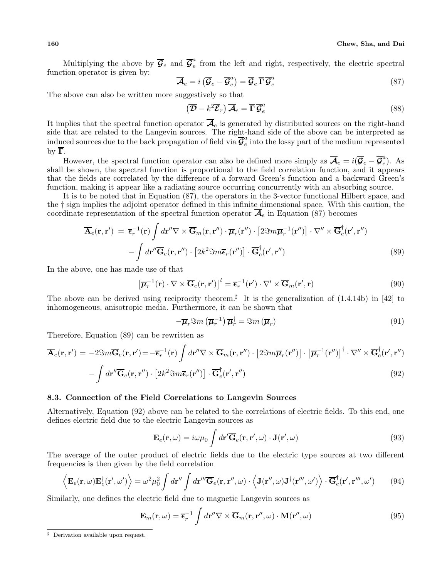Multiplying the above by  $\overline{\mathcal{G}}_e$  and  $\overline{\mathcal{G}}_e^a$  from the left and right, respectively, the electric spectral function operator is given by:

$$
\overline{\mathcal{A}}_e = i \left( \overline{\mathcal{G}}_e - \overline{\mathcal{G}}_e^a \right) = \overline{\mathcal{G}}_e \, \overline{\Gamma} \, \overline{\mathcal{G}}_e^a \tag{87}
$$

The above can also be written more suggestively so that

$$
\left(\overline{\mathbf{\mathcal{D}}}-k^2\overline{\mathbf{\mathcal{E}}}_r\right)\overline{\mathbf{\mathcal{A}}}_e=\overline{\mathbf{\Gamma}}\overline{\mathbf{\mathcal{G}}}_e^a\tag{88}
$$

It implies that the spectral function operator  $\overline{\mathcal{A}}_e$  is generated by distributed sources on the right-hand side that are related to the Langevin sources. The right-hand side of the above can be interpreted as induced sources due to the back propagation of field via  $\overline{\mathcal{G}}_e^a$  into the lossy part of the medium represented by **Γ**.

However, the spectral function operator can also be defined more simply as  $\overline{\mathcal{A}}_e = i(\overline{\mathcal{G}}_e - \overline{\mathcal{G}}_e^a)$ . As shall be shown, the spectral function is proportional to the field correlation function, and it appears that the fields are correlated by the difference of a forward Green's function and a backward Green's function, making it appear like a radiating source occurring concurrently with an absorbing source.

It is to be noted that in Equation (87), the operators in the 3-vector functional Hilbert space, and the † sign implies the adjoint operator defined in this infinite dimensional space. With this caution, the coordinate representation of the spectral function operator  $\overline{\mathcal{A}}_e$  in Equation (87) becomes

$$
\overline{\mathbf{A}}_e(\mathbf{r}, \mathbf{r}') = \overline{\epsilon}_r^{-1}(\mathbf{r}) \int d\mathbf{r}'' \nabla \times \overline{\mathbf{G}}_m(\mathbf{r}, \mathbf{r}'') \cdot \overline{\boldsymbol{\mu}}_r(\mathbf{r}'') \cdot \left[2 \Im m \overline{\boldsymbol{\mu}}_r^{-1}(\mathbf{r}'')\right] \cdot \nabla'' \times \overline{\mathbf{G}}_e^{\dagger}(\mathbf{r}', \mathbf{r}'') - \int d\mathbf{r}'' \overline{\mathbf{G}}_e(\mathbf{r}, \mathbf{r}'') \cdot \left[2k^2 \Im m \overline{\epsilon}_r(\mathbf{r}'')\right] \cdot \overline{\mathbf{G}}_e^{\dagger}(\mathbf{r}', \mathbf{r}'') \tag{89}
$$

In the above, one has made use of that

$$
\left[\overline{\boldsymbol{\mu}}_r^{-1}(\mathbf{r}) \cdot \nabla \times \overline{\mathbf{G}}_e(\mathbf{r}, \mathbf{r}')\right]^t = \overline{\boldsymbol{\epsilon}}_r^{-1}(\mathbf{r}') \cdot \nabla' \times \overline{\mathbf{G}}_m(\mathbf{r}', \mathbf{r})
$$
(90)

The above can be derived using reciprocity theorem.<sup> $\sharp$ </sup> It is the generalization of (1.4.14b) in [42] to inhomogeneous, anisotropic media. Furthermore, it can be shown that

$$
-\overline{\mu}_r \Im m\left(\overline{\mu}_r^{-1}\right) \overline{\mu}_r^{\dagger} = \Im m\left(\overline{\mu}_r\right) \tag{91}
$$

Therefore, Equation (89) can be rewritten as

$$
\overline{\mathbf{A}}_e(\mathbf{r}, \mathbf{r}') = -2\Im m \overline{\mathbf{G}}_e(\mathbf{r}, \mathbf{r}') = -\overline{\epsilon}_r^{-1}(\mathbf{r}) \int d\mathbf{r}'' \nabla \times \overline{\mathbf{G}}_m(\mathbf{r}, \mathbf{r}'') \cdot \left[2\Im m \overline{\mu}_r(\mathbf{r}'')\right] \cdot \left[\overline{\mu}_r^{-1}(\mathbf{r}'')\right]^\dagger \cdot \nabla'' \times \overline{\mathbf{G}}_e^\dagger(\mathbf{r}', \mathbf{r}'') - \int d\mathbf{r}'' \overline{\mathbf{G}}_e(\mathbf{r}, \mathbf{r}'') \cdot \left[2k^2 \Im m \overline{\epsilon}_r(\mathbf{r}'')\right] \cdot \overline{\mathbf{G}}_e^\dagger(\mathbf{r}', \mathbf{r}'') \tag{92}
$$

## **8.3. Connection of the Field Correlations to Langevin Sources**

Alternatively, Equation (92) above can be related to the correlations of electric fields. To this end, one defines electric field due to the electric Langevin sources as

$$
\mathbf{E}_e(\mathbf{r}, \omega) = i\omega\mu_0 \int d\mathbf{r}' \overline{\mathbf{G}}_e(\mathbf{r}, \mathbf{r}', \omega) \cdot \mathbf{J}(\mathbf{r}', \omega)
$$
(93)

The average of the outer product of electric fields due to the electric type sources at two different frequencies is then given by the field correlation

$$
\left\langle \mathbf{E}_e(\mathbf{r}, \omega) \mathbf{E}_e^{\dagger}(\mathbf{r}', \omega') \right\rangle = \omega^2 \mu_0^2 \int d\mathbf{r}'' \int d\mathbf{r}''' \overline{\mathbf{G}}_e(\mathbf{r}, \mathbf{r}'', \omega) \cdot \left\langle \mathbf{J}(\mathbf{r}'', \omega) \mathbf{J}^{\dagger}(\mathbf{r}''', \omega') \right\rangle \cdot \overline{\mathbf{G}}_e^{\dagger}(\mathbf{r}', \mathbf{r}''', \omega') \tag{94}
$$

Similarly, one defines the electric field due to magnetic Langevin sources as

$$
\mathbf{E}_{m}(\mathbf{r},\omega) = \overline{\boldsymbol{\epsilon}}_{r}^{-1} \int d\mathbf{r}'' \nabla \times \overline{\mathbf{G}}_{m}(\mathbf{r},\mathbf{r}'',\omega) \cdot \mathbf{M}(\mathbf{r}'',\omega)
$$
(95)

Derivation available upon request.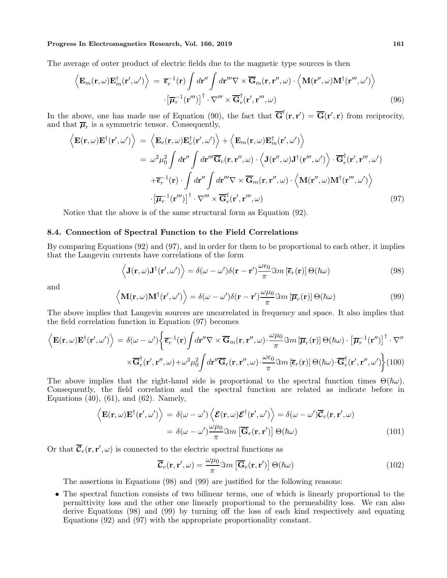The average of outer product of electric fields due to the magnetic type sources is then

$$
\left\langle \mathbf{E}_{m}(\mathbf{r},\omega)\mathbf{E}_{m}^{\dagger}(\mathbf{r}',\omega')\right\rangle = \overline{\epsilon}_{r}^{-1}(\mathbf{r})\int d\mathbf{r}''\int d\mathbf{r}'''\nabla \times \overline{\mathbf{G}}_{m}(\mathbf{r},\mathbf{r}'',\omega) \cdot \left\langle \mathbf{M}(\mathbf{r}'',\omega)\mathbf{M}^{\dagger}(\mathbf{r}''',\omega')\right\rangle
$$

$$
\cdot \left[\overline{\boldsymbol{\mu}}_{r}^{-1}(\mathbf{r}''')\right]^{\dagger} \cdot \nabla''' \times \overline{\mathbf{G}}_{e}^{\dagger}(\mathbf{r}',\mathbf{r}''',\omega) \tag{96}
$$

In the above, one has made use of Equation (90), the fact that  $\overline{G}^t(\mathbf{r}, \mathbf{r}') = \overline{G}(\mathbf{r}', \mathbf{r})$  from reciprocity, and that  $\overline{\mu}_r$  is a symmetric tensor. Consequently,

$$
\langle \mathbf{E}(\mathbf{r},\omega)\mathbf{E}^{\dagger}(\mathbf{r}',\omega') \rangle = \langle \mathbf{E}_{e}(\mathbf{r},\omega)\mathbf{E}_{e}^{\dagger}(\mathbf{r}',\omega') \rangle + \langle \mathbf{E}_{m}(\mathbf{r},\omega)\mathbf{E}_{m}^{\dagger}(\mathbf{r}',\omega') \rangle \n= \omega^{2} \mu_{0}^{2} \int d\mathbf{r}'' \int d\mathbf{r}''' \overline{\mathbf{G}}_{e}(\mathbf{r},\mathbf{r}'',\omega) \cdot \langle \mathbf{J}(\mathbf{r}'',\omega)\mathbf{J}^{\dagger}(\mathbf{r}''',\omega') \rangle \cdot \overline{\mathbf{G}}_{e}^{\dagger}(\mathbf{r}',\mathbf{r}''',\omega') \n+ \overline{\epsilon}_{r}^{-1}(\mathbf{r}) \cdot \int d\mathbf{r}'' \int d\mathbf{r}''' \nabla \times \overline{\mathbf{G}}_{m}(\mathbf{r},\mathbf{r}'',\omega) \cdot \langle \mathbf{M}(\mathbf{r}'',\omega)\mathbf{M}^{\dagger}(\mathbf{r}''',\omega') \rangle \n\cdot \left[ \overline{\boldsymbol{\mu}}_{r}^{-1}(\mathbf{r}''') \right]^{\dagger} \cdot \nabla'''' \times \overline{\mathbf{G}}_{e}^{\dagger}(\mathbf{r}',\mathbf{r}''',\omega)
$$
\n(97)

Notice that the above is of the same structural form as Equation (92).

## **8.4. Connection of Spectral Function to the Field Correlations**

By comparing Equations (92) and (97), and in order for them to be proportional to each other, it implies that the Langevin currents have correlations of the form

$$
\langle \mathbf{J}(\mathbf{r}, \omega) \mathbf{J}^{\dagger}(\mathbf{r}', \omega') \rangle = \delta(\omega - \omega') \delta(\mathbf{r} - \mathbf{r}') \frac{\omega \epsilon_0}{\pi} \Im m \left[ \overline{\epsilon}_r(\mathbf{r}) \right] \Theta(\hbar \omega)
$$
(98)

and

$$
\langle \mathbf{M}(\mathbf{r},\omega)\mathbf{M}^{\dagger}(\mathbf{r}',\omega')\rangle = \delta(\omega-\omega')\delta(\mathbf{r}-\mathbf{r}')\frac{\omega\mu_0}{\pi}\Im m\left[\overline{\boldsymbol{\mu}}_r(\mathbf{r})\right]\Theta(\hbar\omega)
$$
(99)

The above implies that Langevin sources are uncorrelated in frequency and space. It also implies that the field correlation function in Equation (97) becomes

$$
\langle \mathbf{E}(\mathbf{r},\omega)\mathbf{E}^{\dagger}(\mathbf{r}',\omega') \rangle = \delta(\omega - \omega') \Big\{ \overline{\epsilon}_{r}^{-1}(\mathbf{r}) \int d\mathbf{r}'' \nabla \times \overline{\mathbf{G}}_{m}(\mathbf{r},\mathbf{r}'',\omega) \cdot \frac{\omega\mu_{0}}{\pi} \Im m \left[ \overline{\mu}_{r}(\mathbf{r}) \right] \Theta(\hbar\omega) \cdot \left[ \overline{\mu}_{r}^{-1}(\mathbf{r}'') \right]^{\dagger} \cdot \nabla''
$$

$$
\times \overline{\mathbf{G}}_{e}^{\dagger}(\mathbf{r}',\mathbf{r}'',\omega) + \omega^{2} \mu_{0}^{2} \int d\mathbf{r}'' \overline{\mathbf{G}}_{e}(\mathbf{r},\mathbf{r}'',\omega) \cdot \frac{\omega\epsilon_{0}}{\pi} \Im m \left[ \overline{\epsilon}_{r}(\mathbf{r}) \right] \Theta(\hbar\omega) \cdot \overline{\mathbf{G}}_{e}^{\dagger}(\mathbf{r}',\mathbf{r}'',\omega') \Big\} (100)
$$

The above implies that the right-hand side is proportional to the spectral function times  $\Theta(\hbar\omega)$ . Consequently, the field correlation and the spectral function are related as indicate before in Equations  $(40)$ ,  $(61)$ , and  $(62)$ . Namely,

$$
\langle \mathbf{E}(\mathbf{r}, \omega) \mathbf{E}^{\dagger}(\mathbf{r}', \omega') \rangle = \delta(\omega - \omega') \langle \mathcal{E}(\mathbf{r}, \omega) \mathcal{E}^{\dagger}(\mathbf{r}', \omega') \rangle = \delta(\omega - \omega') \overline{\mathcal{C}}_e(\mathbf{r}, \mathbf{r}', \omega)
$$

$$
= \delta(\omega - \omega') \frac{\omega \mu_0}{\pi} \Im m \left[ \overline{\mathbf{G}}_e(\mathbf{r}, \mathbf{r}') \right] \Theta(\hbar \omega)
$$
(101)

Or that  $\mathcal{C}_e(\mathbf{r}, \mathbf{r}', \omega)$  is connected to the electric spectral functions as

$$
\overline{\mathcal{C}}_e(\mathbf{r}, \mathbf{r}', \omega) = \frac{\omega \mu_0}{\pi} \Im m \left[ \overline{\mathbf{G}}_e(\mathbf{r}, \mathbf{r}') \right] \Theta(\hbar \omega)
$$
(102)

The assertions in Equations (98) and (99) are justified for the following reasons:

• The spectral function consists of two bilinear terms, one of which is linearly proportional to the permittivity loss and the other one linearly proportional to the permeability loss. We can also derive Equations (98) and (99) by turning off the loss of each kind respectively and equating Equations (92) and (97) with the appropriate proportionality constant.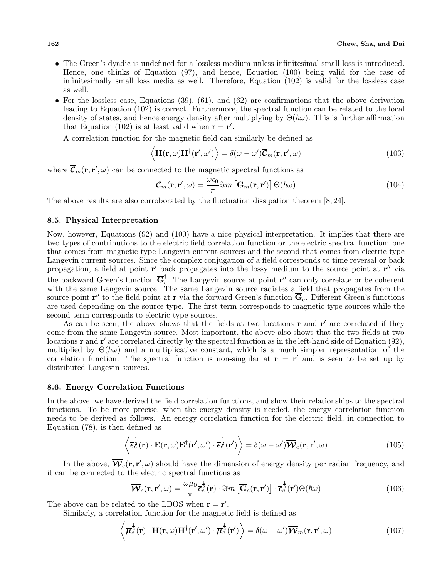- The Green's dyadic is undefined for a lossless medium unless infinitesimal small loss is introduced. Hence, one thinks of Equation (97), and hence, Equation (100) being valid for the case of infinitesimally small loss media as well. Therefore, Equation (102) is valid for the lossless case as well.
- For the lossless case, Equations  $(39)$ ,  $(61)$ , and  $(62)$  are confirmations that the above derivation leading to Equation (102) is correct. Furthermore, the spectral function can be related to the local density of states, and hence energy density after multiplying by  $\Theta(\hbar\omega)$ . This is further affirmation that Equation (102) is at least valid when  $\mathbf{r} = \mathbf{r}'$ .

A correlation function for the magnetic field can similarly be defined as

$$
\langle \mathbf{H}(\mathbf{r}, \omega) \mathbf{H}^{\dagger}(\mathbf{r}', \omega') \rangle = \delta(\omega - \omega') \overline{\mathcal{C}}_m(\mathbf{r}, \mathbf{r}', \omega)
$$
(103)

where  $C_m(\mathbf{r}, \mathbf{r}', \omega)$  can be connected to the magnetic spectral functions as

$$
\overline{\mathcal{C}}_m(\mathbf{r}, \mathbf{r}', \omega) = \frac{\omega \epsilon_0}{\pi} \Im m \left[ \overline{\mathbf{G}}_m(\mathbf{r}, \mathbf{r}') \right] \Theta(\hbar \omega)
$$
(104)

The above results are also corroborated by the fluctuation dissipation theorem [8, 24].

## **8.5. Physical Interpretation**

Now, however, Equations (92) and (100) have a nice physical interpretation. It implies that there are two types of contributions to the electric field correlation function or the electric spectral function: one that comes from magnetic type Langevin current sources and the second that comes from electric type Langevin current sources. Since the complex conjugation of a field corresponds to time reversal or back propagation, a field at point **r**<sup> $\prime$ </sup> back propagates into the lossy medium to the source point at **r**<sup> $\prime\prime$ </sup> via the backward Green's function  $\overline{\mathbf{G}}_e^{\dagger}$ . The Langevin source at point **r**<sup> $\prime\prime$ </sup> can only correlate or be coherent with the same Langevin source. The same Langevin source radiates a field that propagates from the source point  $\mathbf{r}''$  to the field point at  $\mathbf{r}$  via the forward Green's function  $\mathbf{G}_e$ . Different Green's functions are used depending on the source type. The first term corresponds to magnetic type sources while the second term corresponds to electric type sources.

As can be seen, the above shows that the fields at two locations **r** and **r**<sup> $\prime$ </sup> are correlated if they come from the same Langevin source. Most important, the above also shows that the two fields at two locations **r** and **r**<sup> $\prime$ </sup> are correlated directly by the spectral function as in the left-hand side of Equation (92), multiplied by  $\Theta(\hbar\omega)$  and a multiplicative constant, which is a much simpler representation of the correlation function. The spectral function is non-singular at  $\mathbf{r} = \mathbf{r}'$  and is seen to be set up by distributed Langevin sources.

## **8.6. Energy Correlation Functions**

In the above, we have derived the field correlation functions, and show their relationships to the spectral functions. To be more precise, when the energy density is needed, the energy correlation function needs to be derived as follows. An energy correlation function for the electric field, in connection to Equation (78), is then defined as

$$
\left\langle \overline{\epsilon}_{e}^{\frac{1}{2}}(\mathbf{r}) \cdot \mathbf{E}(\mathbf{r}, \omega) \mathbf{E}^{\dagger}(\mathbf{r}', \omega') \cdot \overline{\epsilon}_{e}^{\frac{1}{2}}(\mathbf{r}') \right\rangle = \delta(\omega - \omega') \overline{\mathbf{W}}_{e}(\mathbf{r}, \mathbf{r}', \omega)
$$
(105)

In the above,  $\mathcal{W}_e(\mathbf{r}, \mathbf{r}', \omega)$  should have the dimension of energy density per radian frequency, and it can be connected to the electric spectral functions as

$$
\overline{\mathbf{W}}_e(\mathbf{r}, \mathbf{r}', \omega) = \frac{\omega \mu_0}{\pi} \overline{\epsilon}_e^{\frac{1}{2}}(\mathbf{r}) \cdot \Im m \left[ \overline{\mathbf{G}}_e(\mathbf{r}, \mathbf{r}') \right] \cdot \overline{\epsilon}_e^{\frac{1}{2}}(\mathbf{r}') \Theta(\hbar \omega)
$$
(106)

The above can be related to the LDOS when  $\mathbf{r} = \mathbf{r}'$ .

Similarly, a correlation function for the magnetic field is defined as

$$
\left\langle \overline{\boldsymbol{\mu}}_{e}^{\frac{1}{2}}(\mathbf{r}) \cdot \mathbf{H}(\mathbf{r}, \omega) \mathbf{H}^{\dagger}(\mathbf{r}', \omega') \cdot \overline{\boldsymbol{\mu}}_{e}^{\frac{1}{2}}(\mathbf{r}') \right\rangle = \delta(\omega - \omega') \overline{\mathbf{\mathcal{W}}}_{m}(\mathbf{r}, \mathbf{r}', \omega)
$$
(107)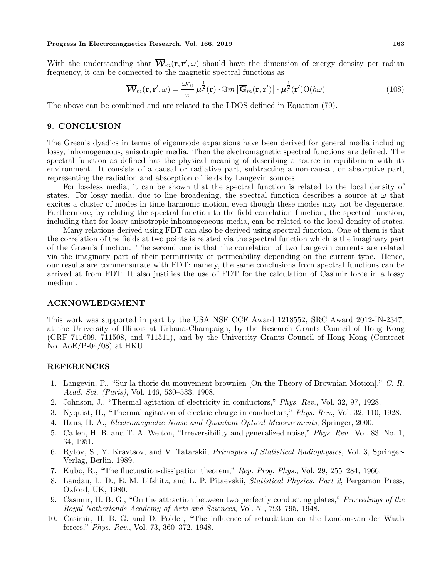With the understanding that  $W_m(\mathbf{r}, \mathbf{r}', \omega)$  should have the dimension of energy density per radian frequency, it can be connected to the magnetic spectral functions as

$$
\overline{\mathbf{\mathcal{W}}}_{m}(\mathbf{r}, \mathbf{r}', \omega) = \frac{\omega \epsilon_0}{\pi} \overline{\mu}_e^{\frac{1}{2}}(\mathbf{r}) \cdot \Im m \left[ \overline{\mathbf{G}}_m(\mathbf{r}, \mathbf{r}') \right] \cdot \overline{\mu}_e^{\frac{1}{2}}(\mathbf{r}') \Theta(\hbar \omega)
$$
(108)

The above can be combined and are related to the LDOS defined in Equation (79).

# **9. CONCLUSION**

The Green's dyadics in terms of eigenmode expansions have been derived for general media including lossy, inhomogeneous, anisotropic media. Then the electromagnetic spectral functions are defined. The spectral function as defined has the physical meaning of describing a source in equilibrium with its environment. It consists of a causal or radiative part, subtracting a non-causal, or absorptive part, representing the radiation and absorption of fields by Langevin sources.

For lossless media, it can be shown that the spectral function is related to the local density of states. For lossy media, due to line broadening, the spectral function describes a source at  $\omega$  that excites a cluster of modes in time harmonic motion, even though these modes may not be degenerate. Furthermore, by relating the spectral function to the field correlation function, the spectral function, including that for lossy anisotropic inhomogeneous media, can be related to the local density of states.

Many relations derived using FDT can also be derived using spectral function. One of them is that the correlation of the fields at two points is related via the spectral function which is the imaginary part of the Green's function. The second one is that the correlation of two Langevin currents are related via the imaginary part of their permittivity or permeability depending on the current type. Hence, our results are commensurate with FDT: namely, the same conclusions from spectral functions can be arrived at from FDT. It also justifies the use of FDT for the calculation of Casimir force in a lossy medium.

### **ACKNOWLEDGMENT**

This work was supported in part by the USA NSF CCF Award 1218552, SRC Award 2012-IN-2347, at the University of Illinois at Urbana-Champaign, by the Research Grants Council of Hong Kong (GRF 711609, 711508, and 711511), and by the University Grants Council of Hong Kong (Contract No. AoE/P-04/08) at HKU.

## **REFERENCES**

- 1. Langevin, P., "Sur la thorie du mouvement brownien [On the Theory of Brownian Motion]," *C. R. Acad. Sci. (Paris)*, Vol. 146, 530–533, 1908.
- 2. Johnson, J., "Thermal agitation of electricity in conductors," *Phys. Rev.*, Vol. 32, 97, 1928.
- 3. Nyquist, H., "Thermal agitation of electric charge in conductors," *Phys. Rev.*, Vol. 32, 110, 1928.
- 4. Haus, H. A., *Electromagnetic Noise and Quantum Optical Measurements*, Springer, 2000.
- 5. Callen, H. B. and T. A. Welton, "Irreversibility and generalized noise," *Phys. Rev.*, Vol. 83, No. 1, 34, 1951.
- 6. Rytov, S., Y. Kravtsov, and V. Tatarskii, *Principles of Statistical Radiophysics*, Vol. 3, Springer-Verlag, Berlin, 1989.
- 7. Kubo, R., "The fluctuation-dissipation theorem," *Rep. Prog. Phys.*, Vol. 29, 255–284, 1966.
- 8. Landau, L. D., E. M. Lifshitz, and L. P. Pitaevskii, *Statistical Physics. Part 2*, Pergamon Press, Oxford, UK, 1980.
- 9. Casimir, H. B. G., "On the attraction between two perfectly conducting plates," *Proceedings of the Royal Netherlands Academy of Arts and Sciences*, Vol. 51, 793–795, 1948.
- 10. Casimir, H. B. G. and D. Polder, "The influence of retardation on the London-van der Waals forces," *Phys. Rev.*, Vol. 73, 360–372, 1948.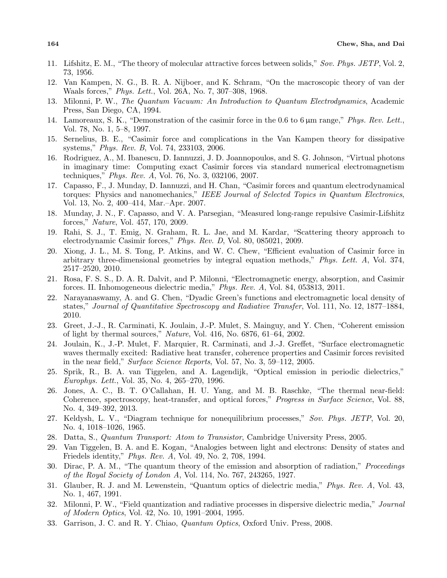- 11. Lifshitz, E. M., "The theory of molecular attractive forces between solids," *Sov. Phys. JETP*, Vol. 2, 73, 1956.
- 12. Van Kampen, N. G., B. R. A. Nijboer, and K. Schram, "On the macroscopic theory of van der Waals forces," *Phys. Lett.*, Vol. 26A, No. 7, 307–308, 1968.
- 13. Milonni, P. W., *The Quantum Vacuum: An Introduction to Quantum Electrodynamics*, Academic Press, San Diego, CA, 1994.
- 14. Lamoreaux, S. K., "Demonstration of the casimir force in the 0.6 to 6 µm range," *Phys. Rev. Lett.*, Vol. 78, No. 1, 5–8, 1997.
- 15. Sernelius, B. E., "Casimir force and complications in the Van Kampen theory for dissipative systems," *Phys. Rev. B*, Vol. 74, 233103, 2006.
- 16. Rodriguez, A., M. Ibanescu, D. Iannuzzi, J. D. Joannopoulos, and S. G. Johnson, "Virtual photons in imaginary time: Computing exact Casimir forces via standard numerical electromagnetism techniques," *Phys. Rev. A*, Vol. 76, No. 3, 032106, 2007.
- 17. Capasso, F., J. Munday, D. Iannuzzi, and H. Chan, "Casimir forces and quantum electrodynamical torques: Physics and nanomechanics," *IEEE Journal of Selected Topics in Quantum Electronics*, Vol. 13, No. 2, 400–414, Mar.–Apr. 2007.
- 18. Munday, J. N., F. Capasso, and V. A. Parsegian, "Measured long-range repulsive Casimir-Lifshitz forces," *Nature*, Vol. 457, 170, 2009.
- 19. Rahi, S. J., T. Emig, N. Graham, R. L. Jae, and M. Kardar, "Scattering theory approach to electrodynamic Casimir forces," *Phys. Rev. D*, Vol. 80, 085021, 2009.
- 20. Xiong, J. L., M. S. Tong, P. Atkins, and W. C. Chew, "Efficient evaluation of Casimir force in arbitrary three-dimensional geometries by integral equation methods," *Phys. Lett. A*, Vol. 374, 2517–2520, 2010.
- 21. Rosa, F. S. S., D. A. R. Dalvit, and P. Milonni, "Electromagnetic energy, absorption, and Casimir forces. II. Inhomogeneous dielectric media," *Phys. Rev. A*, Vol. 84, 053813, 2011.
- 22. Narayanaswamy, A. and G. Chen, "Dyadic Green's functions and electromagnetic local density of states," *Journal of Quantitative Spectroscopy and Radiative Transfer*, Vol. 111, No. 12, 1877–1884, 2010.
- 23. Greet, J.-J., R. Carminati, K. Joulain, J.-P. Mulet, S. Mainguy, and Y. Chen, "Coherent emission of light by thermal sources," *Nature*, Vol. 416, No. 6876, 61–64, 2002.
- 24. Joulain, K., J.-P. Mulet, F. Marquier, R. Carminati, and J.-J. Greffet, "Surface electromagnetic waves thermally excited: Radiative heat transfer, coherence properties and Casimir forces revisited in the near field," *Surface Science Reports*, Vol. 57, No. 3, 59–112, 2005.
- 25. Sprik, R., B. A. van Tiggelen, and A. Lagendijk, "Optical emission in periodic dielectrics," *Europhys. Lett.*, Vol. 35, No. 4, 265–270, 1996.
- 26. Jones, A. C., B. T. O'Callahan, H. U. Yang, and M. B. Raschke, "The thermal near-field: Coherence, spectroscopy, heat-transfer, and optical forces," *Progress in Surface Science*, Vol. 88, No. 4, 349–392, 2013.
- 27. Keldysh, L. V., "Diagram technique for nonequilibrium processes," *Sov. Phys. JETP*, Vol. 20, No. 4, 1018–1026, 1965.
- 28. Datta, S., *Quantum Transport: Atom to Transistor*, Cambridge University Press, 2005.
- 29. Van Tiggelen, B. A. and E. Kogan, "Analogies between light and electrons: Density of states and Friedels identity," *Phys. Rev. A*, Vol. 49, No. 2, 708, 1994.
- 30. Dirac, P. A. M., "The quantum theory of the emission and absorption of radiation," *Proceedings of the Royal Society of London A*, Vol. 114, No. 767, 243265, 1927.
- 31. Glauber, R. J. and M. Lewenstein, "Quantum optics of dielectric media," *Phys. Rev. A*, Vol. 43, No. 1, 467, 1991.
- 32. Milonni, P. W., "Field quantization and radiative processes in dispersive dielectric media," *Journal of Modern Optics*, Vol. 42, No. 10, 1991–2004, 1995.
- 33. Garrison, J. C. and R. Y. Chiao, *Quantum Optics*, Oxford Univ. Press, 2008.